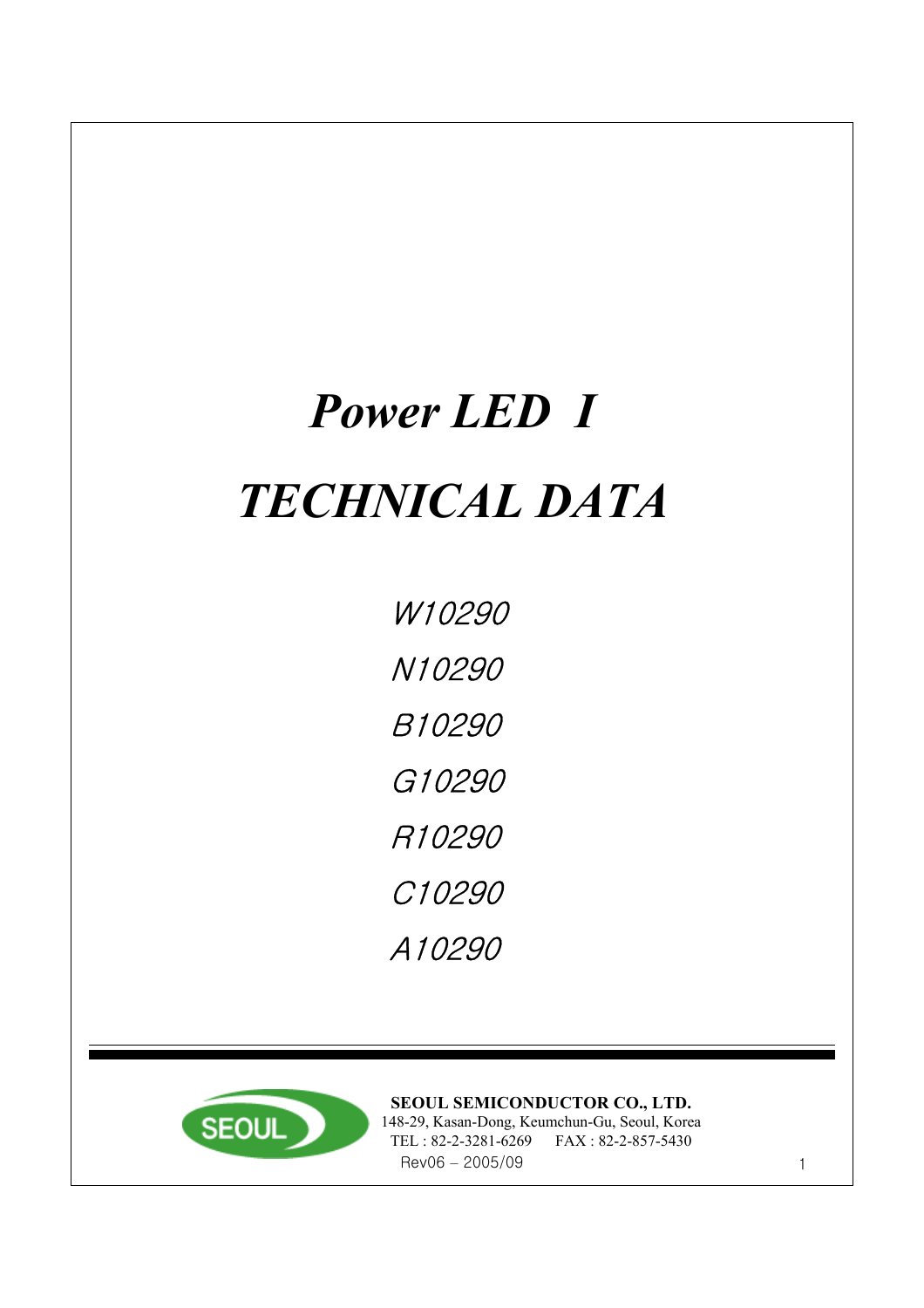# *Power LED I TECHNICAL DATA*

W10290 N10290 B10290 G10290 R10290 C10290 A10290



Rev06 – 2005/09 1 **SEOUL SEMICONDUCTOR CO., LTD.** 148-29, Kasan-Dong, Keumchun-Gu, Seoul, Korea TEL : 82-2-3281-6269 FAX : 82-2-857-5430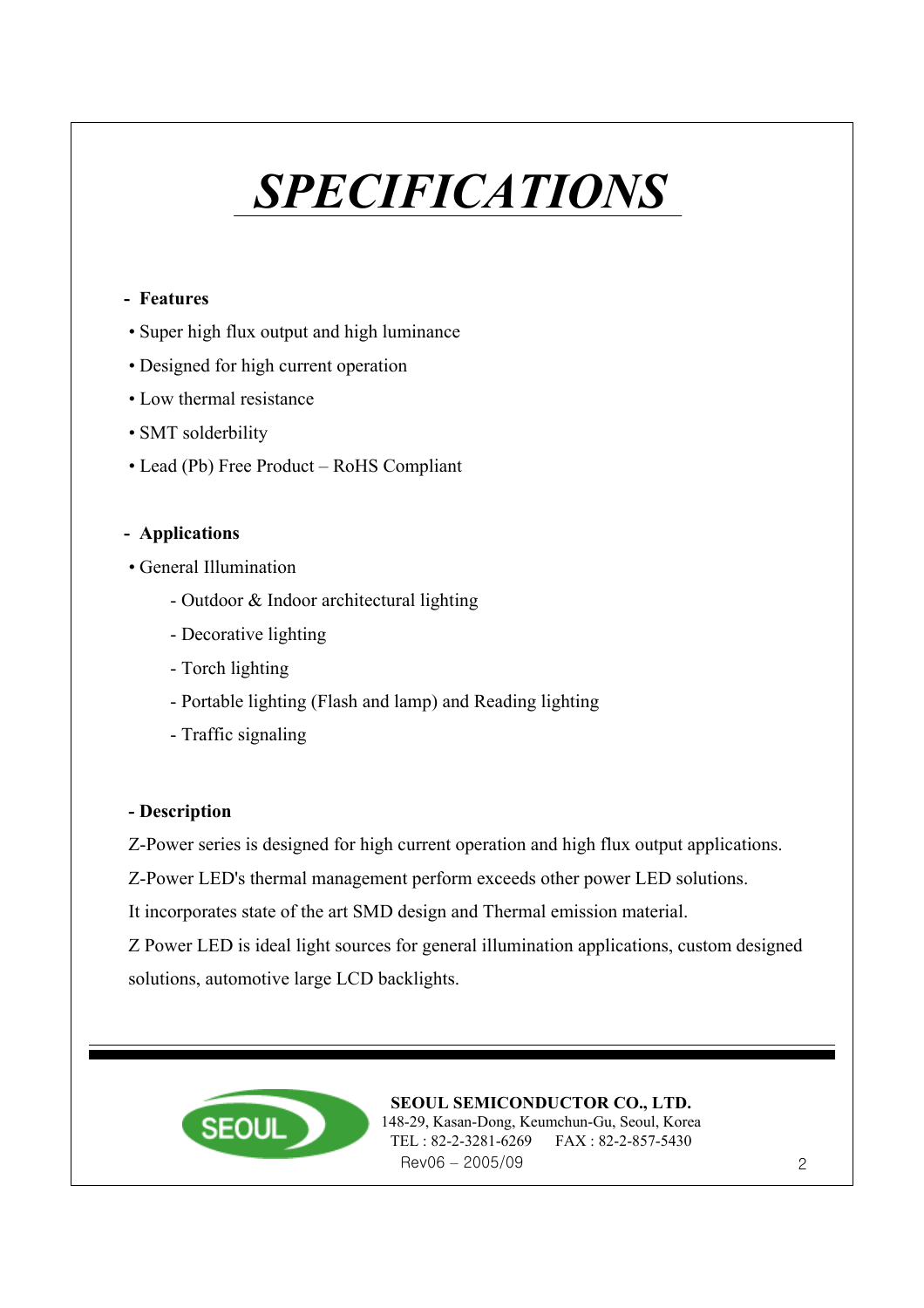# *SPECIFICATIONS*

#### **- Features**

- Super high flux output and high luminance
- Designed for high current operation
- Low thermal resistance
- SMT solderbility
- Lead (Pb) Free Product RoHS Compliant

#### **- Applications**

- General Illumination
	- Outdoor & Indoor architectural lighting
	- Decorative lighting
	- Torch lighting
	- Portable lighting (Flash and lamp) and Reading lighting
	- Traffic signaling

#### **- Description**

Z-Power series is designed for high current operation and high flux output applications.

Z-Power LED's thermal management perform exceeds other power LED solutions.

It incorporates state of the art SMD design and Thermal emission material.

Z Power LED is ideal light sources for general illumination applications, custom designed solutions, automotive large LCD backlights.



#### Rev06 – 2005/09 2 **SEOUL SEMICONDUCTOR CO., LTD.** 148-29, Kasan-Dong, Keumchun-Gu, Seoul, Korea TEL : 82-2-3281-6269 FAX : 82-2-857-5430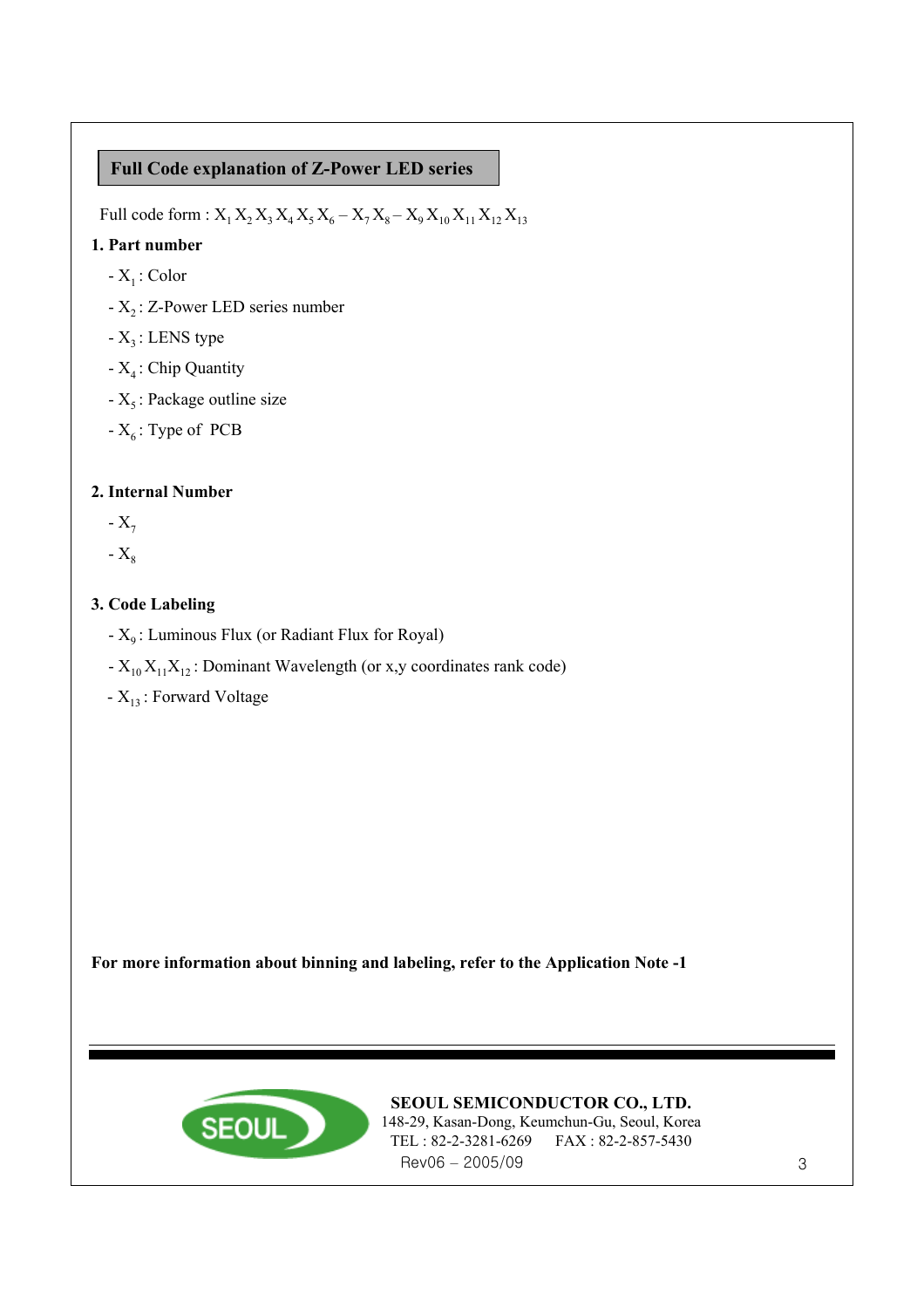#### **Full Code explanation of Z-Power LED series**

Full code form :  $X_1 X_2 X_3 X_4 X_5 X_6 - X_7 X_8 - X_9 X_{10} X_{11} X_{12} X_{13}$ 

#### **1. Part number**

- $-X_1$ : Color
- $-X<sub>2</sub>$ : Z-Power LED series number
- $-X_3$ : LENS type
- $X_4$ : Chip Quantity
- $-X_5$ : Package outline size
- $-X_6$ : Type of PCB

### **2. Internal Number**

 $-X<sub>7</sub>$ 

 $-X_{8}$ 

#### **3. Code Labeling**

- $-X<sub>9</sub>$ : Luminous Flux (or Radiant Flux for Royal)
- $-X_{10}X_{11}X_{12}$ : Dominant Wavelength (or x,y coordinates rank code)
- $-X_{13}$ : Forward Voltage

**For more information about binning and labeling, refer to the Application Note -1**



Rev06 – 2005/09 3 **SEOUL SEMICONDUCTOR CO., LTD.** 148-29, Kasan-Dong, Keumchun-Gu, Seoul, Korea TEL : 82-2-3281-6269 FAX : 82-2-857-5430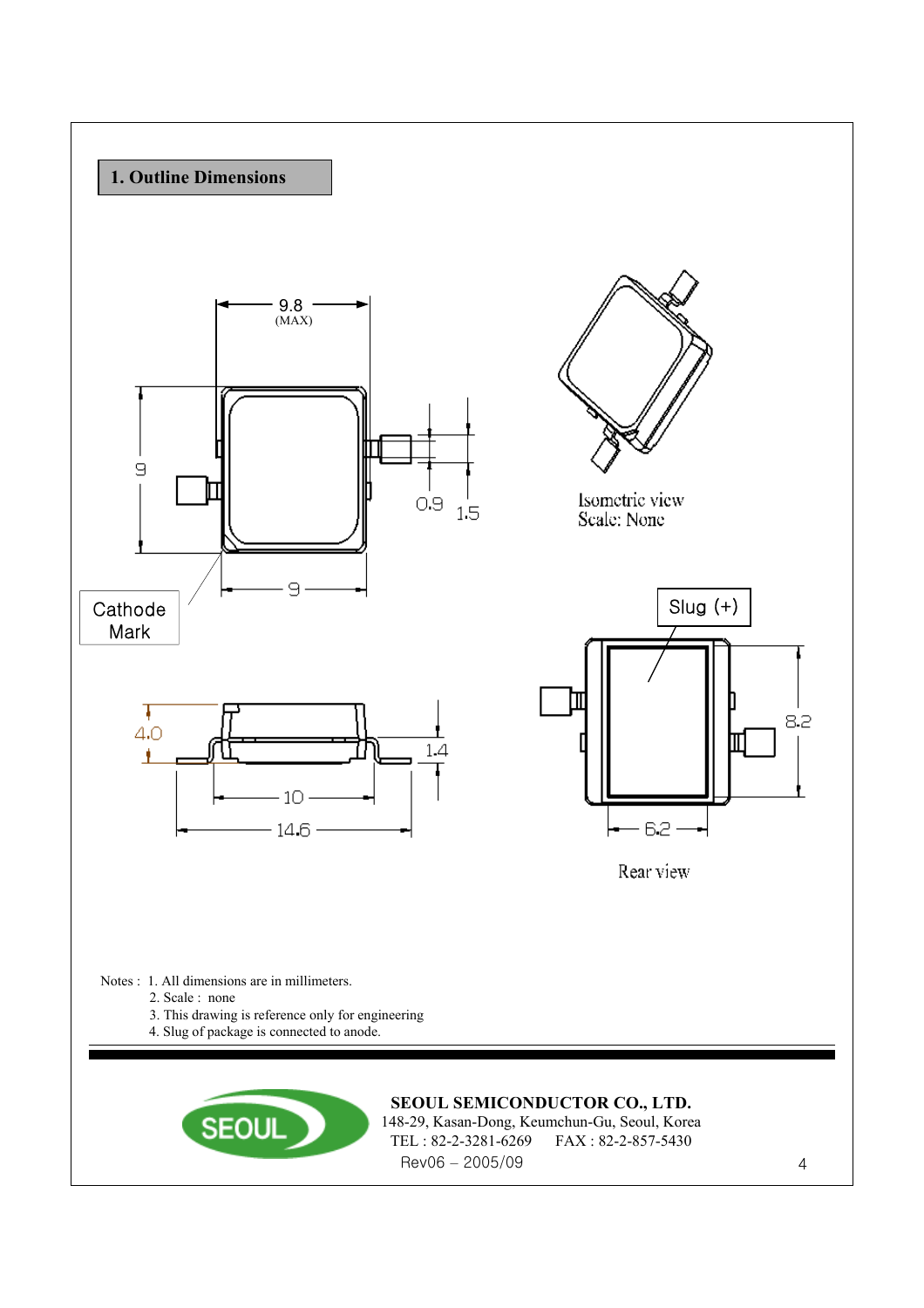

Rev06 – 2005/09 4 148-29, Kasan-Dong, Keumchun-Gu, Seoul, Korea TEL : 82-2-3281-6269 FAX : 82-2-857-5430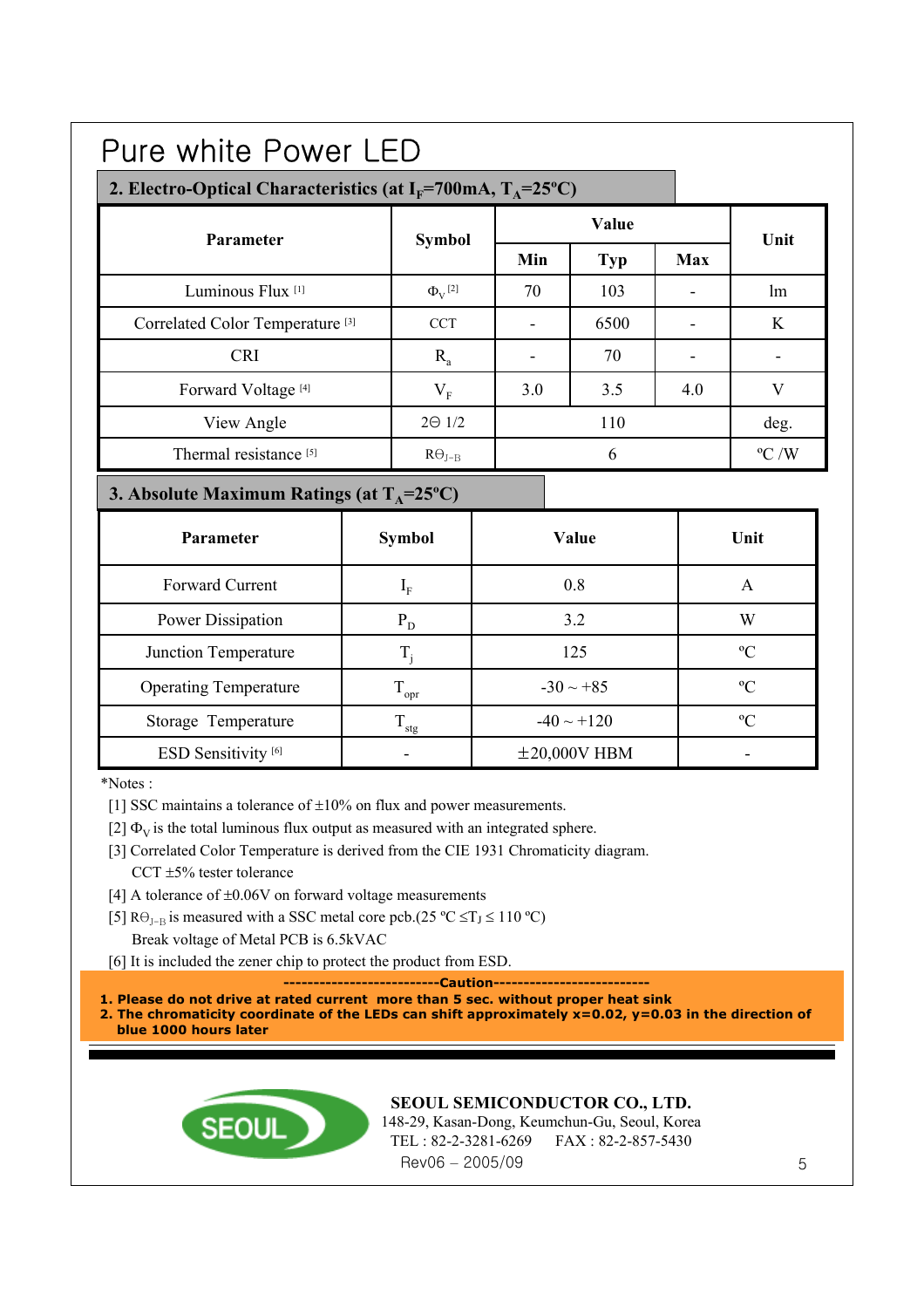# Pure white Power LED

#### 2. Electro-Optical Characteristics (at  $I_F$ =700mA,  $T_A$ =25°C)

| <b>Parameter</b>                            | <b>Symbol</b>                 | Value                    |            |            | Unit           |
|---------------------------------------------|-------------------------------|--------------------------|------------|------------|----------------|
|                                             |                               | Min                      | <b>Typ</b> | <b>Max</b> |                |
| Luminous Flux <sup>[1]</sup>                | $\Phi_{\rm V}$ <sup>[2]</sup> | 70                       | 103        |            | lm             |
| Correlated Color Temperature <sup>[3]</sup> | <b>CCT</b>                    | $\overline{\phantom{a}}$ | 6500       |            | K              |
| <b>CRI</b>                                  | $R_{a}$                       | $\overline{\phantom{a}}$ | 70         |            |                |
| Forward Voltage <sup>[4]</sup>              | $\rm V_{F}$                   | 3.0                      | 3.5        | 4.0        | V              |
| View Angle                                  | $2\Theta$ 1/2                 |                          | 110        |            | deg.           |
| Thermal resistance <sup>[5]</sup>           | $R\Theta_{J-B}$               |                          | 6          |            | $\rm ^{o}C$ /W |

#### **3. Absolute Maximum Ratings (at**  $T_A = 25^{\circ}C$ **)**

| <b>Parameter</b>               | <b>Symbol</b>     | Value             | Unit          |
|--------------------------------|-------------------|-------------------|---------------|
| Forward Current                | $I_F$             | 0.8               | A             |
| Power Dissipation              | $P_{D}$           | 3.2               | W             |
| <b>Junction Temperature</b>    | Τ,                | 125               | $\rm ^{o}C$   |
| <b>Operating Temperature</b>   | $T_{\rm opr}$     | $-30 \sim +85$    | $\mathcal{C}$ |
| Storage Temperature            | $\rm T_{\rm stg}$ | $-40 \sim +120$   | $\mathcal{C}$ |
| ESD Sensitivity <sup>[6]</sup> |                   | $\pm 20,000V$ HBM |               |

\*Notes :

[1] SSC maintains a tolerance of  $\pm 10\%$  on flux and power measurements.

[2]  $\Phi_{\rm V}$  is the total luminous flux output as measured with an integrated sphere.

- [3] Correlated Color Temperature is derived from the CIE 1931 Chromaticity diagram. CCT ±5% tester tolerance
- [4] A tolerance of  $\pm 0.06V$  on forward voltage measurements
- [5]  $R\Theta_{J-B}$  is measured with a SSC metal core pcb.(25 °C  $\leq$ T<sub>J</sub> $\leq$  110 °C) Break voltage of Metal PCB is 6.5kVAC
- [6] It is included the zener chip to protect the product from ESD.

**--------------------------Caution--------------------------**

**1. Please do not drive at rated current more than 5 sec. without proper heat sink**

**2. The chromaticity coordinate of the LEDs can shift approximately x=0.02, y=0.03 in the direction of blue 1000 hours later**



#### **SEOUL SEMICONDUCTOR CO., LTD.**

Rev06 – 2005/09 5 148-29, Kasan-Dong, Keumchun-Gu, Seoul, Korea TEL : 82-2-3281-6269 FAX : 82-2-857-5430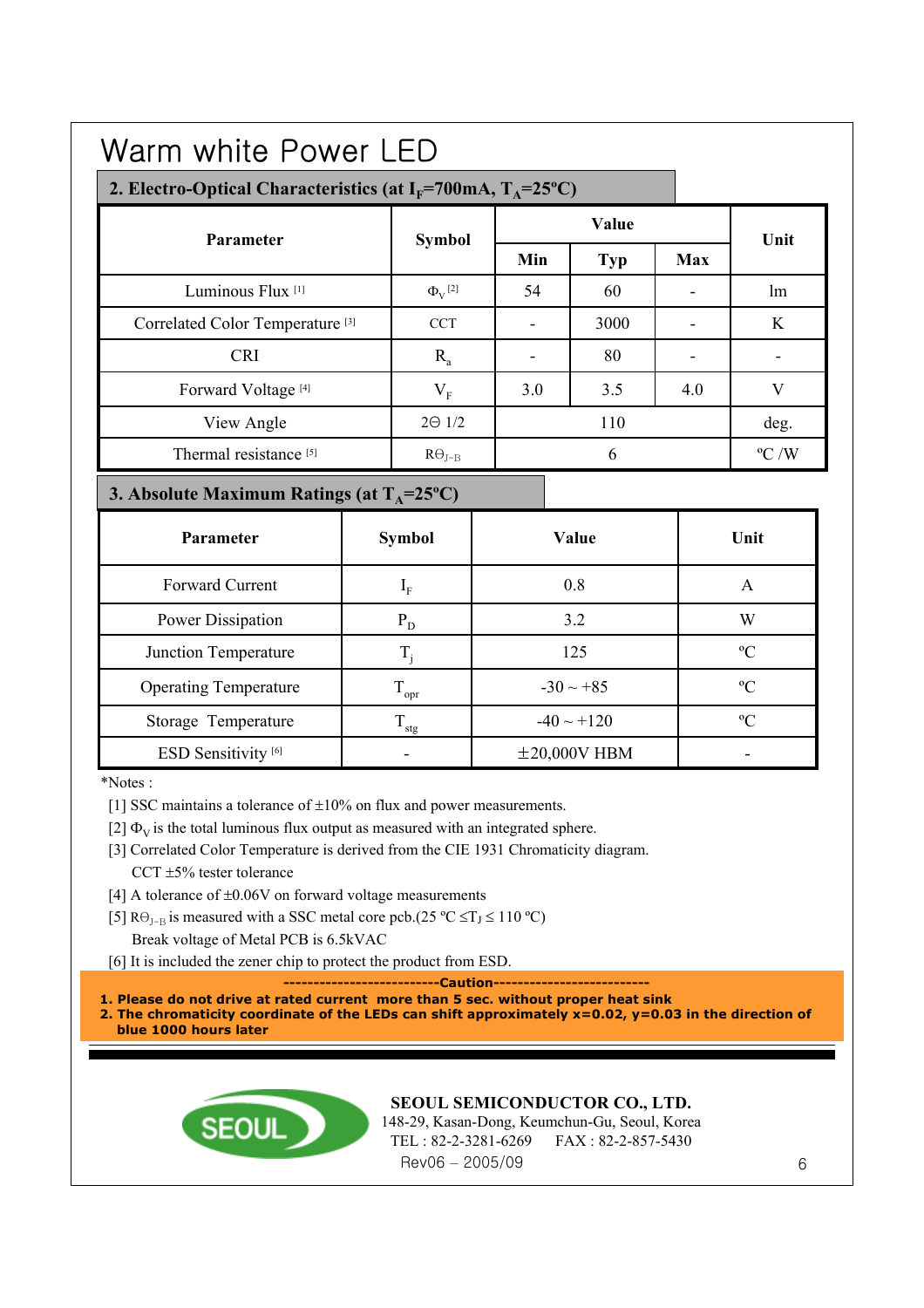## Warm white Power LED

#### **2. Electro-Optical Characteristics (at**  $I<sub>F</sub>=700mA$ **,**  $T<sub>A</sub>=25°C$ **)**

| <b>Parameter</b>                            | <b>Symbol</b>                 | Value |            |            | Unit           |
|---------------------------------------------|-------------------------------|-------|------------|------------|----------------|
|                                             |                               | Min   | <b>Typ</b> | <b>Max</b> |                |
| Luminous Flux <sup>[1]</sup>                | $\Phi_{\rm V}$ <sup>[2]</sup> | 54    | 60         |            | lm             |
| Correlated Color Temperature <sup>[3]</sup> | <b>CCT</b>                    |       | 3000       |            | K              |
| <b>CRI</b>                                  | $R_{a}$                       |       | 80         |            |                |
| Forward Voltage <sup>[4]</sup>              | $\rm V_F$                     | 3.0   | 3.5        | 4.0        | V              |
| View Angle                                  | $2\Theta$ 1/2                 |       | 110        |            | deg.           |
| Thermal resistance <sup>[5]</sup>           | $R\Theta_{J-B}$               |       | 6          |            | $\rm ^{o}C$ /W |

### **3. Absolute Maximum Ratings (at**  $T_A = 25^{\circ}C$ **)**

| <b>Parameter</b>               | <b>Symbol</b>        | Value             | Unit        |
|--------------------------------|----------------------|-------------------|-------------|
| Forward Current                | $\mathbf{I}_{\rm F}$ | 0.8               | A           |
| Power Dissipation              | $P_{D}$              | 3.2               | W           |
| Junction Temperature           | T,                   | 125               | $\rm ^{o}C$ |
| <b>Operating Temperature</b>   | $T_{\rm opr}$        | $-30 \sim +85$    | $\rm ^{o}C$ |
| Storage Temperature            | $\rm T_{\rm stg}$    | $-40 \sim +120$   | $^{\circ}C$ |
| ESD Sensitivity <sup>[6]</sup> |                      | $\pm 20,000V$ HBM |             |

\*Notes :

- [1] SSC maintains a tolerance of  $\pm 10\%$  on flux and power measurements.
- [2]  $\Phi_{\rm V}$  is the total luminous flux output as measured with an integrated sphere.
- [3] Correlated Color Temperature is derived from the CIE 1931 Chromaticity diagram. CCT ±5% tester tolerance
- [4] A tolerance of  $\pm 0.06V$  on forward voltage measurements
- [5]  $R\Theta_{I-B}$  is measured with a SSC metal core pcb.(25 °C  $\leq$ T<sub>J</sub>  $\leq$  110 °C)

Break voltage of Metal PCB is 6.5kVAC

[6] It is included the zener chip to protect the product from ESD.

**--------------------------Caution--------------------------**

**1. Please do not drive at rated current more than 5 sec. without proper heat sink**

**2. The chromaticity coordinate of the LEDs can shift approximately x=0.02, y=0.03 in the direction of blue 1000 hours later**



#### **SEOUL SEMICONDUCTOR CO., LTD.**

Rev06 – 2005/09 6 148-29, Kasan-Dong, Keumchun-Gu, Seoul, Korea TEL : 82-2-3281-6269 FAX : 82-2-857-5430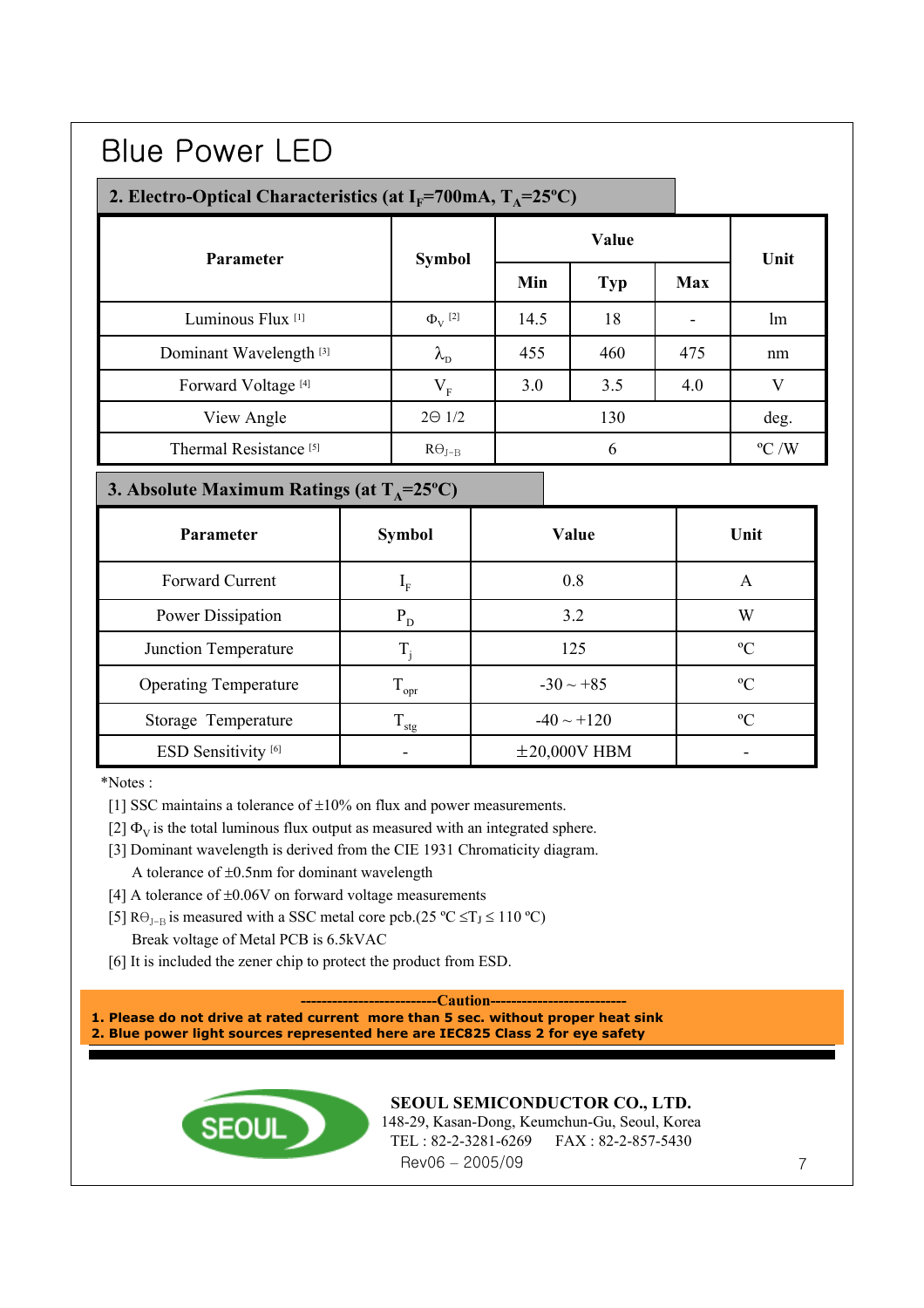## Blue Power LED

#### 2. Electro-Optical Characteristics (at  $I_F$ =700mA,  $T_A$ =25°C)

| <b>Parameter</b>                   | <b>Symbol</b>                            | Value |            |            | Unit           |
|------------------------------------|------------------------------------------|-------|------------|------------|----------------|
|                                    |                                          | Min   | <b>Typ</b> | <b>Max</b> |                |
| Luminous Flux <sup>[1]</sup>       | $\Phi_{\rm V}$ <sup>[2]</sup>            | 14.5  | 18         |            | lm             |
| Dominant Wavelength <sup>[3]</sup> | $\lambda_{\scriptscriptstyle\mathrm{D}}$ | 455   | 460        | 475        | nm             |
| Forward Voltage <sup>[4]</sup>     | $V_F^{\phantom{\dagger}}$                | 3.0   | 3.5        | 4.0        |                |
| View Angle                         | $2\Theta$ 1/2                            |       | 130        |            | deg.           |
| Thermal Resistance <sup>[5]</sup>  | $R\Theta_{J-B}$                          |       | 6          |            | $\rm ^{o}C$ /W |

### **3. Absolute Maximum Ratings (at**  $T_A = 25^{\circ}C$ **)**

| <b>Parameter</b>               | <b>Symbol</b>     | Value             | Unit        |
|--------------------------------|-------------------|-------------------|-------------|
| <b>Forward Current</b>         | $I_{\rm F}$       | 0.8               | A           |
| Power Dissipation              | $P_{\rm D}$       | 3.2               | W           |
| Junction Temperature           |                   | 125               | $\rm ^{o}C$ |
| <b>Operating Temperature</b>   | $T_{\rm opr}$     | $-30 \sim +85$    | $\rm ^{o}C$ |
| Storage Temperature            | $\rm T_{\rm stg}$ | $-40 \sim +120$   | $\rm ^{o}C$ |
| ESD Sensitivity <sup>[6]</sup> |                   | $\pm 20,000V$ HBM |             |

\*Notes :

[1] SSC maintains a tolerance of  $\pm 10\%$  on flux and power measurements.

[2]  $\Phi_{\rm V}$  is the total luminous flux output as measured with an integrated sphere.

- [3] Dominant wavelength is derived from the CIE 1931 Chromaticity diagram. A tolerance of ±0.5nm for dominant wavelength
- [4] A tolerance of  $\pm 0.06V$  on forward voltage measurements
- [5]  $R\Theta_{J-B}$  is measured with a SSC metal core pcb.(25 °C  $\leq$ T<sub>J</sub>  $\leq$  110 °C) Break voltage of Metal PCB is 6.5kVAC
- [6] It is included the zener chip to protect the product from ESD.

#### --Caution-

**1. Please do not drive at rated current more than 5 sec. without proper heat sink 2. Blue power light sources represented here are IEC825 Class 2 for eye safety**



### **SEOUL SEMICONDUCTOR CO., LTD.**

Rev06 – 2005/09 7 148-29, Kasan-Dong, Keumchun-Gu, Seoul, Korea TEL : 82-2-3281-6269 FAX : 82-2-857-5430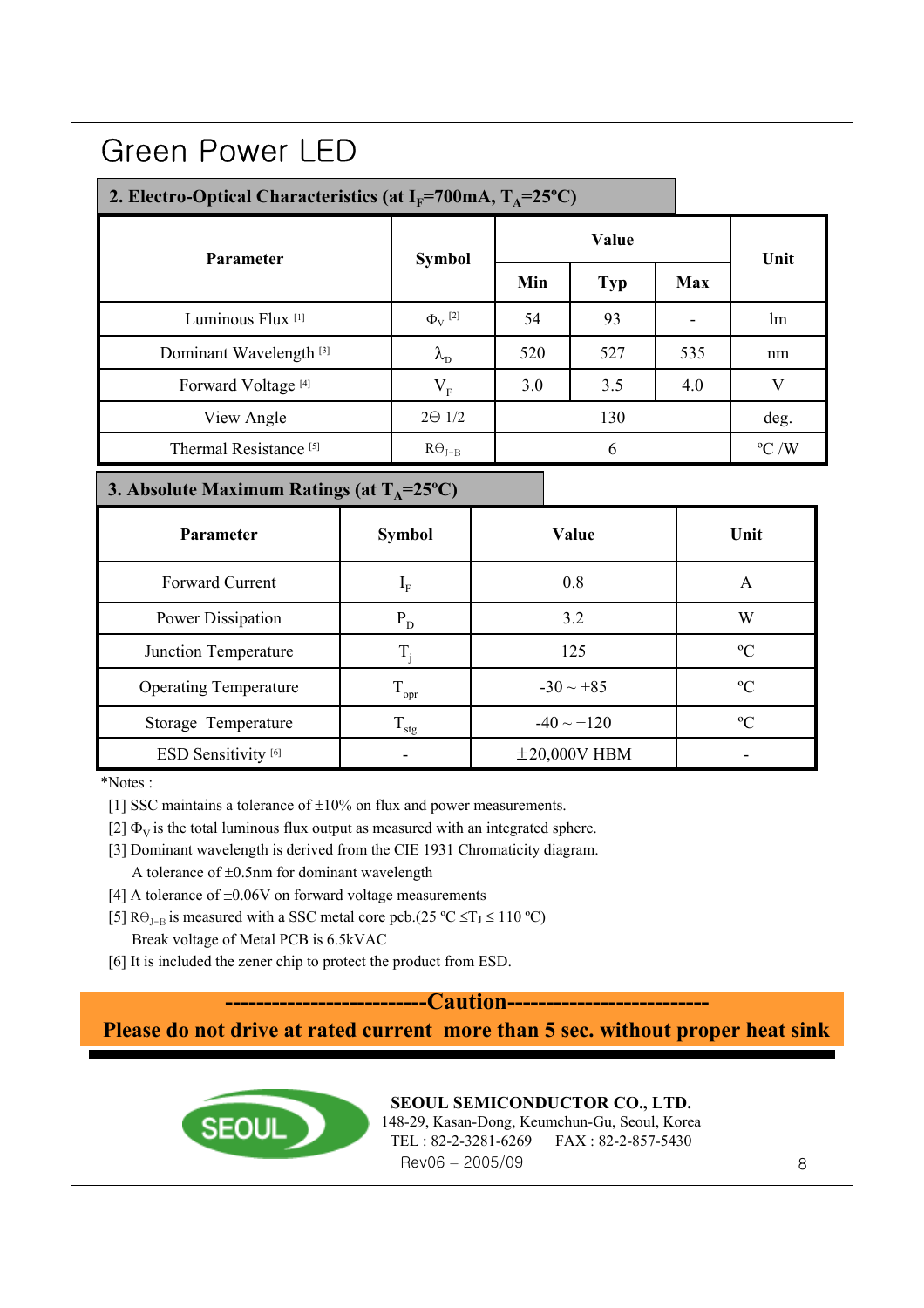# Green Power LED

#### 2. Electro-Optical Characteristics (at  $I_F$ =700mA,  $T_A$ =25°C)

| <b>Parameter</b>                   | <b>Symbol</b>                            | Value |            |            | Unit           |
|------------------------------------|------------------------------------------|-------|------------|------------|----------------|
|                                    |                                          | Min   | <b>Typ</b> | <b>Max</b> |                |
| Luminous Flux <sup>[1]</sup>       | $\Phi_{\rm V}$ <sup>[2]</sup>            | 54    | 93         | ۰          | lm             |
| Dominant Wavelength <sup>[3]</sup> | $\lambda_{\scriptscriptstyle\mathrm{D}}$ | 520   | 527        | 535        | nm             |
| Forward Voltage <sup>[4]</sup>     | $\rm V_F^{}$                             | 3.0   | 3.5        | 4.0        |                |
| View Angle                         | $2\Theta$ 1/2                            |       | 130        |            | deg.           |
| Thermal Resistance <sup>[5]</sup>  | $R\Theta_{J-B}$                          |       | 6          |            | $\rm ^{o}C$ /W |

### **3. Absolute Maximum Ratings (at**  $T_A = 25^{\circ}C$ **)**

| <b>Parameter</b>               | <b>Symbol</b>     | <b>Value</b>      | Unit        |
|--------------------------------|-------------------|-------------------|-------------|
| <b>Forward Current</b>         | $I_{\rm F}$       | 0.8               | A           |
| Power Dissipation              | $P_{D}$           | 3.2               | W           |
| Junction Temperature           |                   | 125               | $\rm ^{o}C$ |
| <b>Operating Temperature</b>   | $T_{\rm opr}$     | $-30 \sim +85$    | $\rm ^{o}C$ |
| Storage Temperature            | $\rm T_{\rm stg}$ | $-40 \sim +120$   | $\rm ^{o}C$ |
| ESD Sensitivity <sup>[6]</sup> |                   | $\pm 20,000V$ HBM |             |

\*Notes :

[1] SSC maintains a tolerance of  $\pm 10\%$  on flux and power measurements.

[2]  $\Phi_{\rm V}$  is the total luminous flux output as measured with an integrated sphere.

- [3] Dominant wavelength is derived from the CIE 1931 Chromaticity diagram. A tolerance of ±0.5nm for dominant wavelength
- [4] A tolerance of  $\pm 0.06V$  on forward voltage measurements
- [5]  $R\Theta_{J-B}$  is measured with a SSC metal core pcb.(25 °C  $\leq$ T<sub>J</sub>  $\leq$  110 °C) Break voltage of Metal PCB is 6.5kVAC
- [6] It is included the zener chip to protect the product from ESD.

**--------------------------Caution--------------------------**

**Please do not drive at rated current more than 5 sec. without proper heat sink**



Rev06 – 2005/09 8 **SEOUL SEMICONDUCTOR CO., LTD.** 148-29, Kasan-Dong, Keumchun-Gu, Seoul, Korea TEL : 82-2-3281-6269 FAX : 82-2-857-5430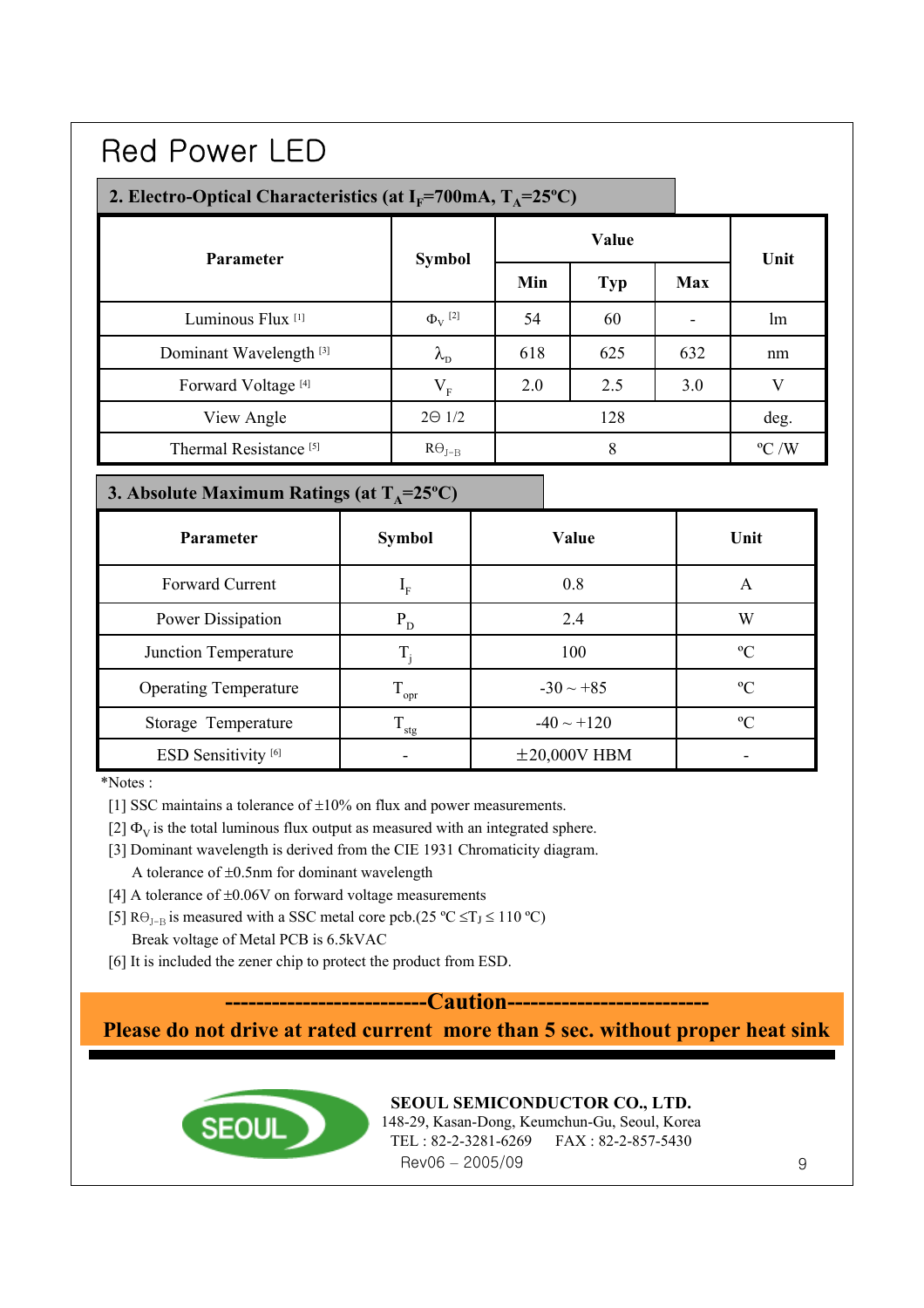# Red Power LED

#### 2. Electro-Optical Characteristics (at  $I_F$ =700mA,  $T_A$ =25°C)

| <b>Parameter</b>                   | <b>Symbol</b>                 | Value |            |            | Unit           |
|------------------------------------|-------------------------------|-------|------------|------------|----------------|
|                                    |                               | Min   | <b>Typ</b> | <b>Max</b> |                |
| Luminous Flux <sup>[1]</sup>       | $\Phi_{\rm V}$ <sup>[2]</sup> | 54    | 60         |            | lm             |
| Dominant Wavelength <sup>[3]</sup> | $\lambda_{\rm D}$             | 618   | 625        | 632        | nm             |
| Forward Voltage <sup>[4]</sup>     | $\rm V_F^{}$                  | 2.0   | 2.5        | 3.0        |                |
| View Angle                         | $2\Theta$ 1/2                 |       | 128        |            | deg.           |
| Thermal Resistance <sup>[5]</sup>  | $R\Theta_{J-B}$               |       | 8          |            | $\rm ^{o}C$ /W |

#### **3. Absolute Maximum Ratings (at**  $T_A = 25^{\circ}C$ **)**

| <b>Parameter</b>               | <b>Symbol</b>     | Value             | Unit        |
|--------------------------------|-------------------|-------------------|-------------|
| <b>Forward Current</b>         | $I_{\rm F}$       | 0.8               | A           |
| Power Dissipation              | $P_{\rm D}$       | 2.4               | W           |
| Junction Temperature           | T,                | 100               | $\rm ^{o}C$ |
| <b>Operating Temperature</b>   | $T_{\rm opr}$     | $-30 \sim +85$    | $\rm ^{o}C$ |
| Storage Temperature            | $\rm T_{\rm stg}$ | $-40 \sim +120$   | $^{\circ}C$ |
| ESD Sensitivity <sup>[6]</sup> |                   | $\pm 20,000V$ HBM |             |

\*Notes :

[1] SSC maintains a tolerance of  $\pm 10\%$  on flux and power measurements.

[2]  $\Phi_{\rm V}$  is the total luminous flux output as measured with an integrated sphere.

- [3] Dominant wavelength is derived from the CIE 1931 Chromaticity diagram. A tolerance of ±0.5nm for dominant wavelength
- [4] A tolerance of  $\pm 0.06V$  on forward voltage measurements
- [5]  $R\Theta_{J-B}$  is measured with a SSC metal core pcb.(25 °C  $\leq$ T<sub>J</sub>  $\leq$  110 °C) Break voltage of Metal PCB is 6.5kVAC
- [6] It is included the zener chip to protect the product from ESD.

**--------------------------Caution--------------------------**

**Please do not drive at rated current more than 5 sec. without proper heat sink**



Rev06 – 2005/09 9 **SEOUL SEMICONDUCTOR CO., LTD.** 148-29, Kasan-Dong, Keumchun-Gu, Seoul, Korea TEL : 82-2-3281-6269 FAX : 82-2-857-5430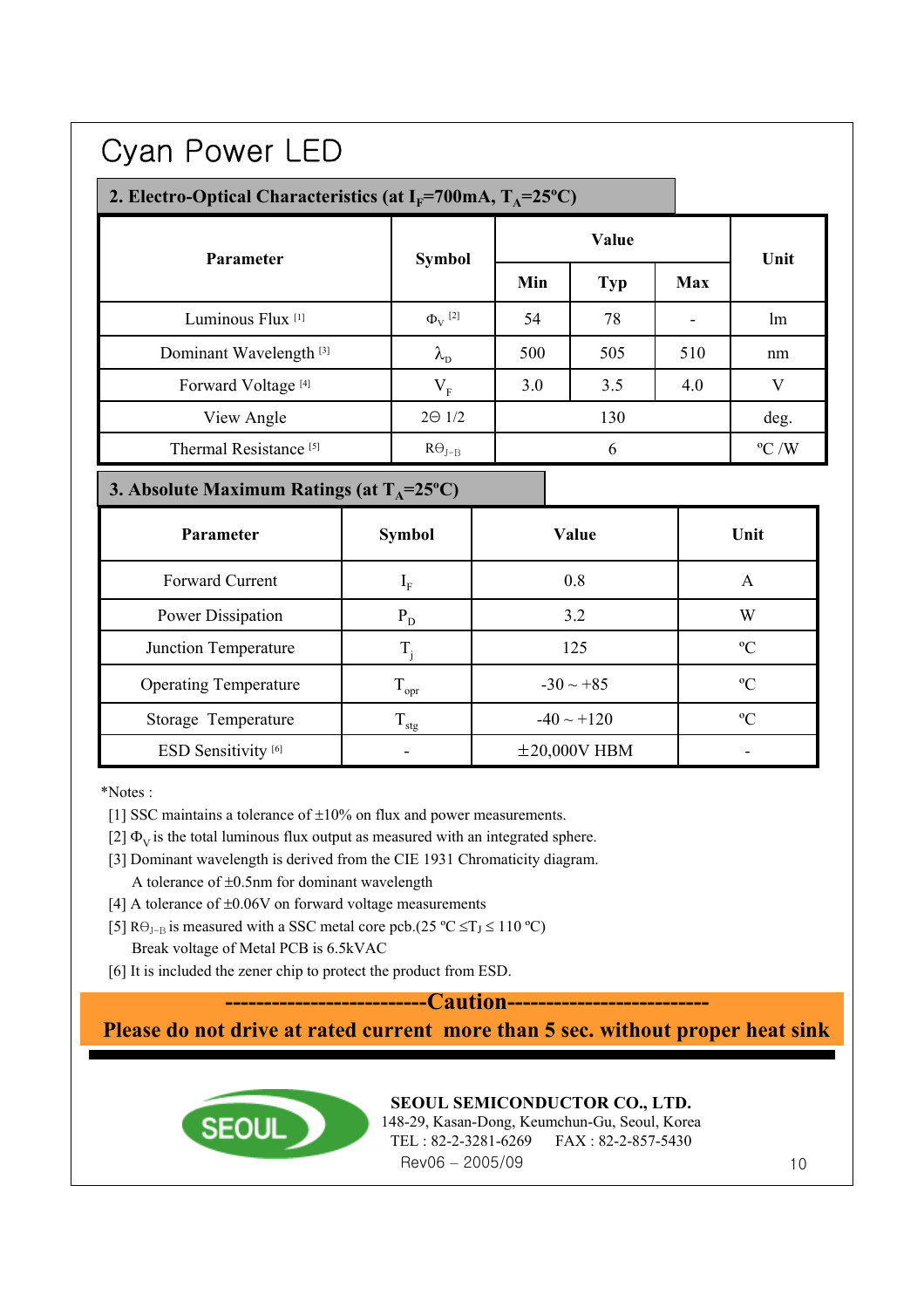# Cyan Power LED

### 2. Electro-Optical Characteristics (at  $I_F$ =700mA,  $T_A$ =25°C)

| <b>Parameter</b>                   | <b>Symbol</b>                 | Value |            |            | Unit           |
|------------------------------------|-------------------------------|-------|------------|------------|----------------|
|                                    |                               | Min   | <b>Typ</b> | <b>Max</b> |                |
| Luminous Flux <sup>[1]</sup>       | $\Phi_{\rm V}$ <sup>[2]</sup> | 54    | 78         | ۰          | lm             |
| Dominant Wavelength <sup>[3]</sup> | $\lambda_{\rm D}$             | 500   | 505        | 510        | nm             |
| Forward Voltage <sup>[4]</sup>     | $\rm V_F^{}$                  | 3.0   | 3.5        | 4.0        |                |
| View Angle                         | $2\Theta$ 1/2                 |       | 130        |            | deg.           |
| Thermal Resistance <sup>[5]</sup>  | $R\Theta_{J-B}$               |       | 6          |            | $\rm ^{o}C$ /W |

### **3. Absolute Maximum Ratings (at**  $T_A = 25^{\circ}C$ **)**

| <b>Parameter</b>               | <b>Symbol</b>                      | Value             | Unit        |
|--------------------------------|------------------------------------|-------------------|-------------|
| <b>Forward Current</b>         | $I_F$                              | 0.8               | A           |
| Power Dissipation              | $P_{\rm D}$                        | 3.2               | W           |
| Junction Temperature           | $\rm T_{\rm \scriptscriptstyle I}$ | 125               | $\rm ^{o}C$ |
| <b>Operating Temperature</b>   | $T_{\rm opr}$                      | $-30 \sim +85$    | $\rm ^{o}C$ |
| Storage Temperature            | $\rm T_{\rm stg}$                  | $-40 \sim +120$   | $^{\circ}C$ |
| ESD Sensitivity <sup>[6]</sup> |                                    | $\pm 20,000V$ HBM |             |

\*Notes :

[1] SSC maintains a tolerance of  $\pm 10\%$  on flux and power measurements.

- [2]  $\Phi_{\rm V}$  is the total luminous flux output as measured with an integrated sphere.
- [3] Dominant wavelength is derived from the CIE 1931 Chromaticity diagram.

A tolerance of ±0.5nm for dominant wavelength

- [4] A tolerance of  $\pm 0.06V$  on forward voltage measurements
- [5]  $R\Theta_{J-B}$  is measured with a SSC metal core pcb.(25 °C  $\leq T_J \leq 110$  °C) Break voltage of Metal PCB is 6.5kVAC
- [6] It is included the zener chip to protect the product from ESD.

**--------------------------Caution--------------------------**

**Please do not drive at rated current more than 5 sec. without proper heat sink**



Rev06 – 2005/09 10 **SEOUL SEMICONDUCTOR CO., LTD.** 148-29, Kasan-Dong, Keumchun-Gu, Seoul, Korea TEL : 82-2-3281-6269 FAX : 82-2-857-5430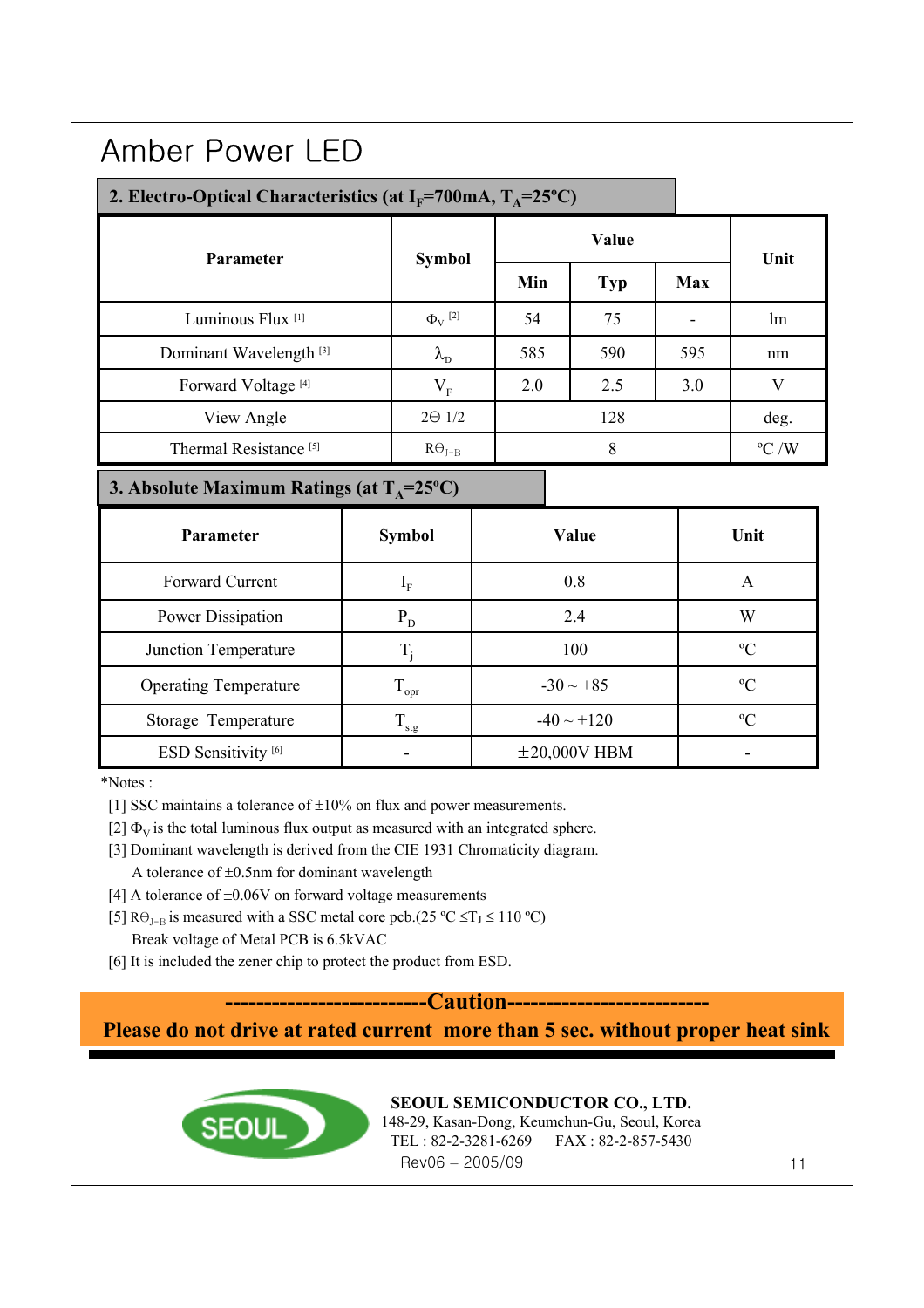### Amber Power LED

#### 2. Electro-Optical Characteristics (at  $I_F$ =700mA,  $T_A$ =25°C)

| <b>Parameter</b>                   | <b>Symbol</b>                            | Value |            |            | Unit           |
|------------------------------------|------------------------------------------|-------|------------|------------|----------------|
|                                    |                                          | Min   | <b>Typ</b> | <b>Max</b> |                |
| Luminous Flux <sup>[1]</sup>       | $\Phi_{\rm V}$ <sup>[2]</sup>            | 54    | 75         |            | lm             |
| Dominant Wavelength <sup>[3]</sup> | $\lambda_{\scriptscriptstyle\mathrm{D}}$ | 585   | 590        | 595        | nm             |
| Forward Voltage <sup>[4]</sup>     | $V_F^{\phantom{\dagger}}$                | 2.0   | 2.5        | 3.0        | V              |
| View Angle                         | $2\Theta$ 1/2                            |       | 128        |            | deg.           |
| Thermal Resistance <sup>[5]</sup>  | $R\Theta_{J-B}$                          |       | 8          |            | $\rm ^{o}C$ /W |

### **3. Absolute Maximum Ratings (at**  $T_A = 25^{\circ}C$ **)**

| <b>Parameter</b>               | <b>Symbol</b>             | Value             | Unit        |
|--------------------------------|---------------------------|-------------------|-------------|
| Forward Current                | $\mathbf{I}_{\mathrm{F}}$ | 0.8               | A           |
| Power Dissipation              | $P_{\rm D}$               | 2.4               | W           |
| Junction Temperature           | $\rm T_*$                 | 100               | $\rm ^{o}C$ |
| <b>Operating Temperature</b>   | $T_{\rm opr}$             | $-30 \sim +85$    | $\rm ^{o}C$ |
| Storage Temperature            | $T_{\rm stg}$             | $-40 \sim +120$   | $^{\circ}C$ |
| ESD Sensitivity <sup>[6]</sup> |                           | $\pm 20,000V$ HBM |             |

\*Notes :

[1] SSC maintains a tolerance of  $\pm 10\%$  on flux and power measurements.

[2]  $\Phi_{\rm V}$  is the total luminous flux output as measured with an integrated sphere.

- [3] Dominant wavelength is derived from the CIE 1931 Chromaticity diagram. A tolerance of ±0.5nm for dominant wavelength
- [4] A tolerance of  $\pm 0.06V$  on forward voltage measurements
- [5]  $R\Theta_{J-B}$  is measured with a SSC metal core pcb.(25 °C  $\leq$ T<sub>J</sub>  $\leq$  110 °C) Break voltage of Metal PCB is 6.5kVAC
- [6] It is included the zener chip to protect the product from ESD.

**--------------------------Caution--------------------------**

**Please do not drive at rated current more than 5 sec. without proper heat sink**



**SEOUL SEMICONDUCTOR CO., LTD.** 148-29, Kasan-Dong, Keumchun-Gu, Seoul, Korea TEL : 82-2-3281-6269 FAX : 82-2-857-5430

Rev06 – 2005/09 11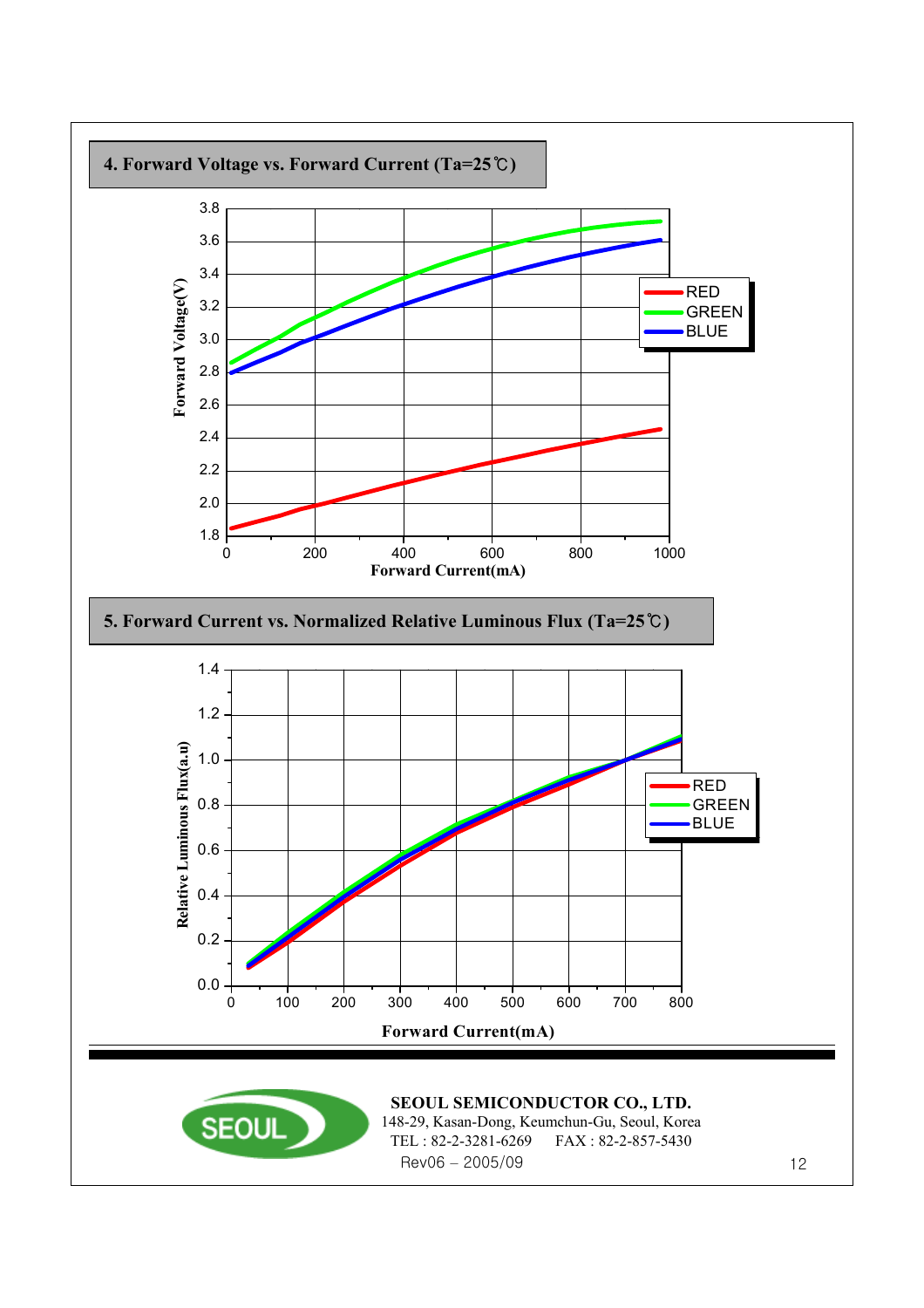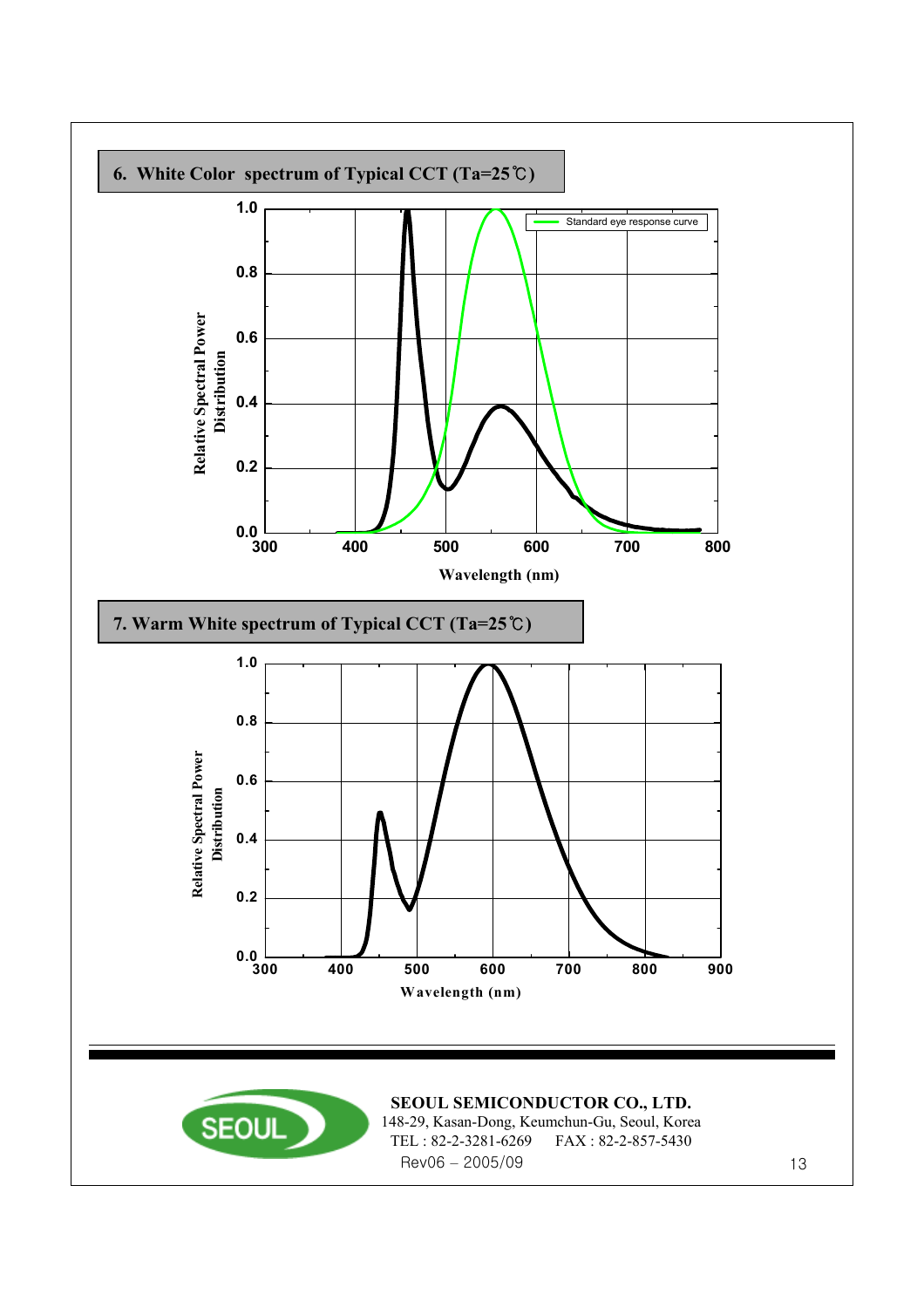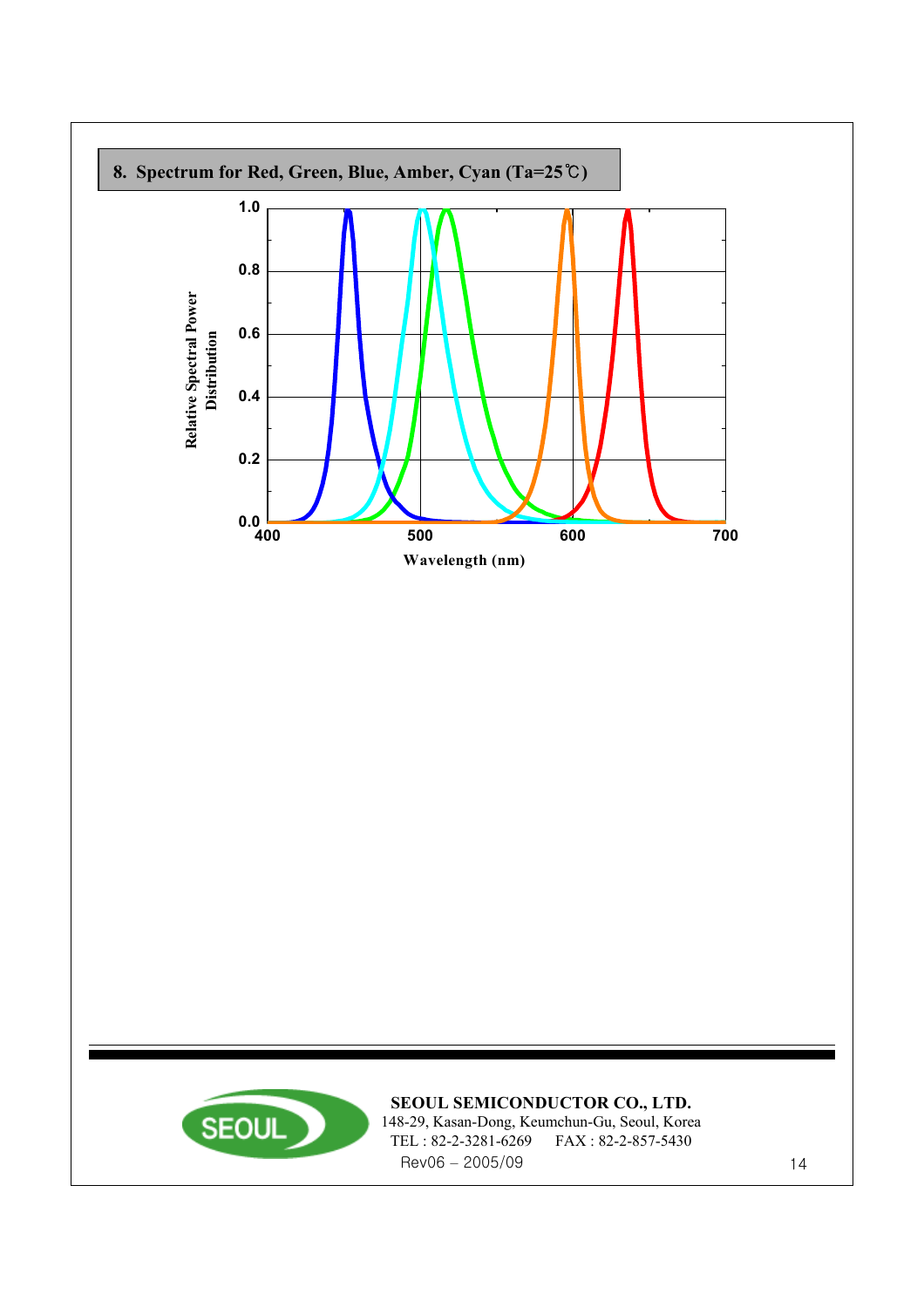



**SEOUL SEMICONDUCTOR CO., LTD.** 148-29, Kasan-Dong, Keumchun-Gu, Seoul, Korea TEL : 82-2-3281-6269 FAX : 82-2-857-5430

Rev06 – 2005/09 14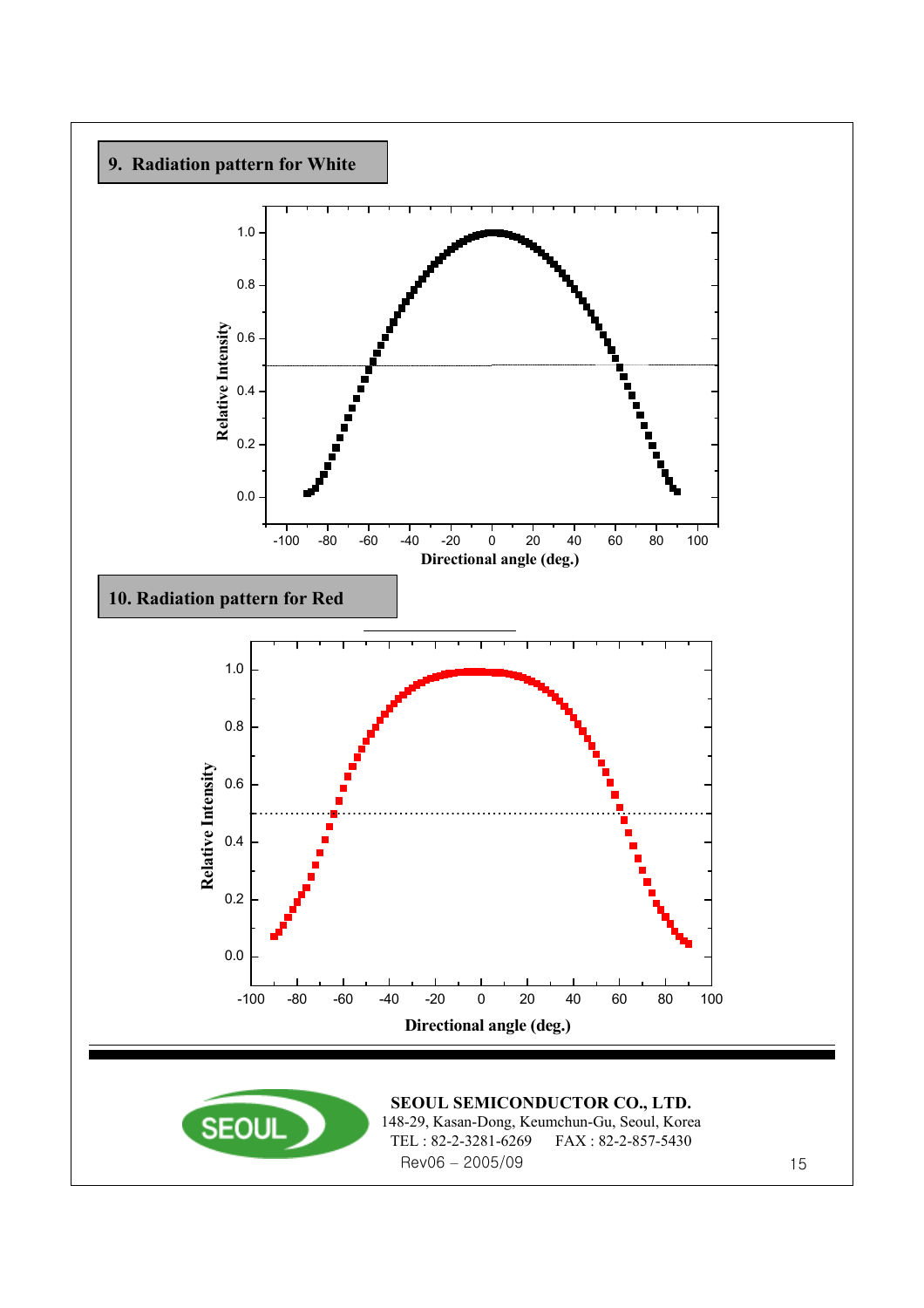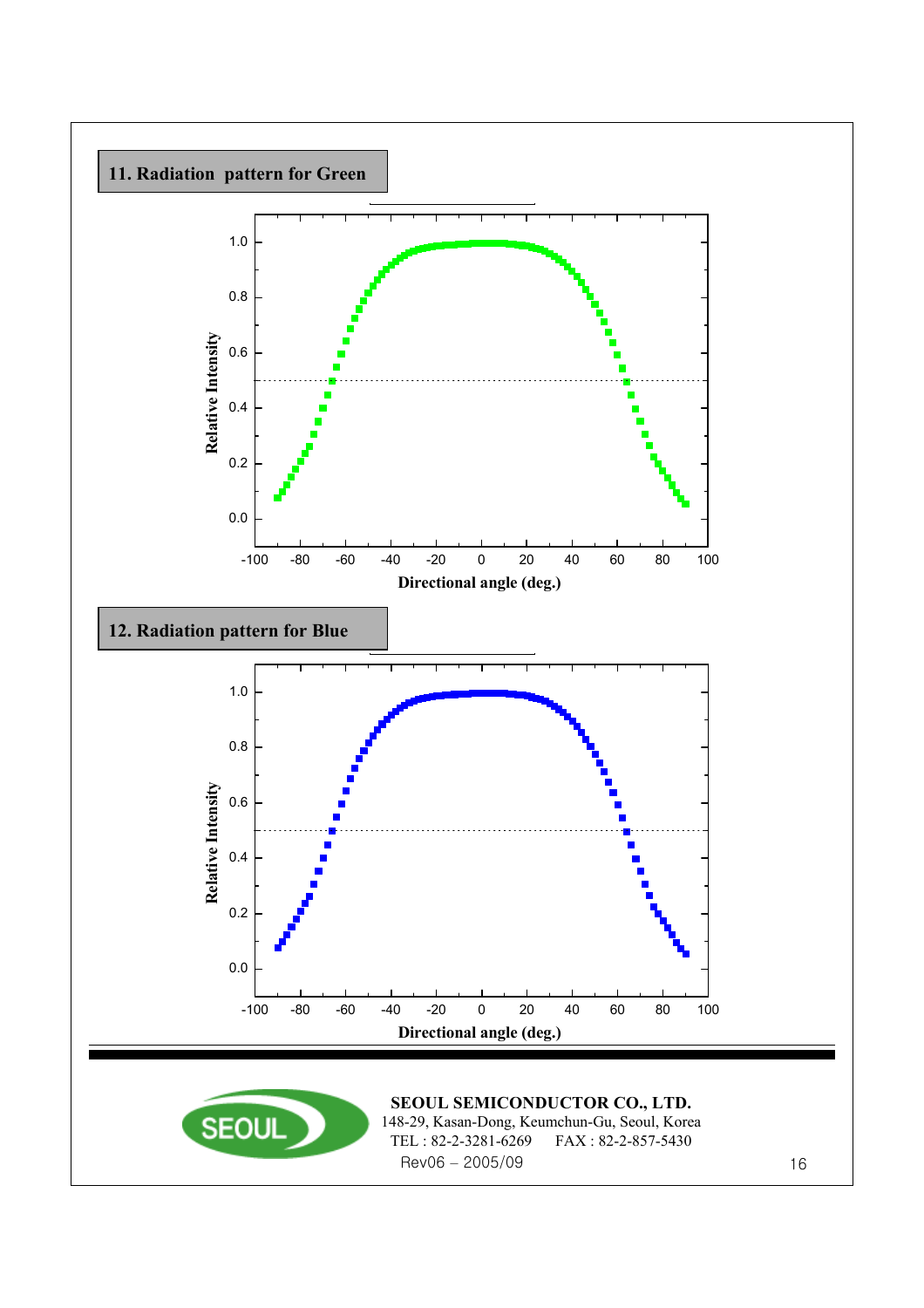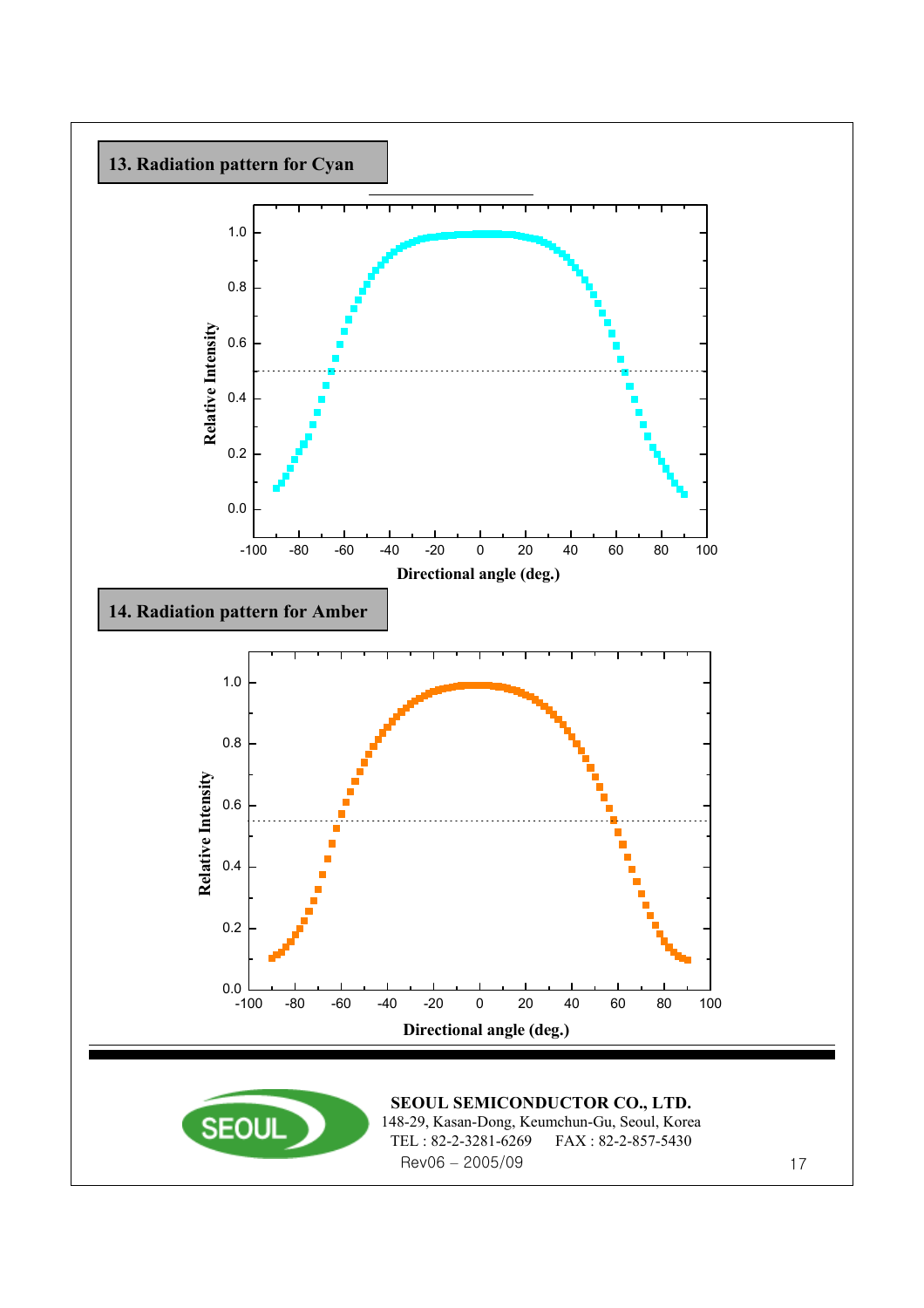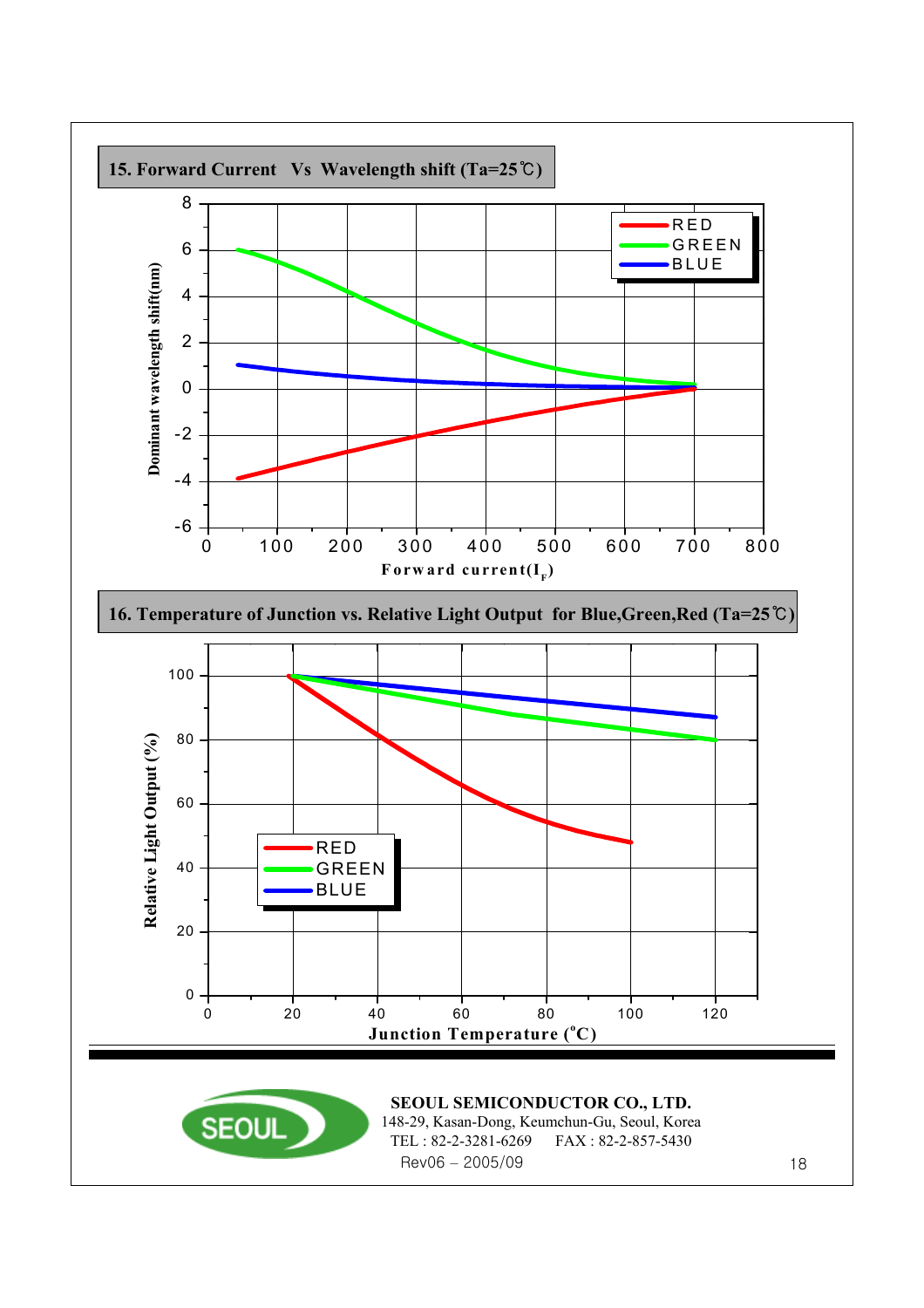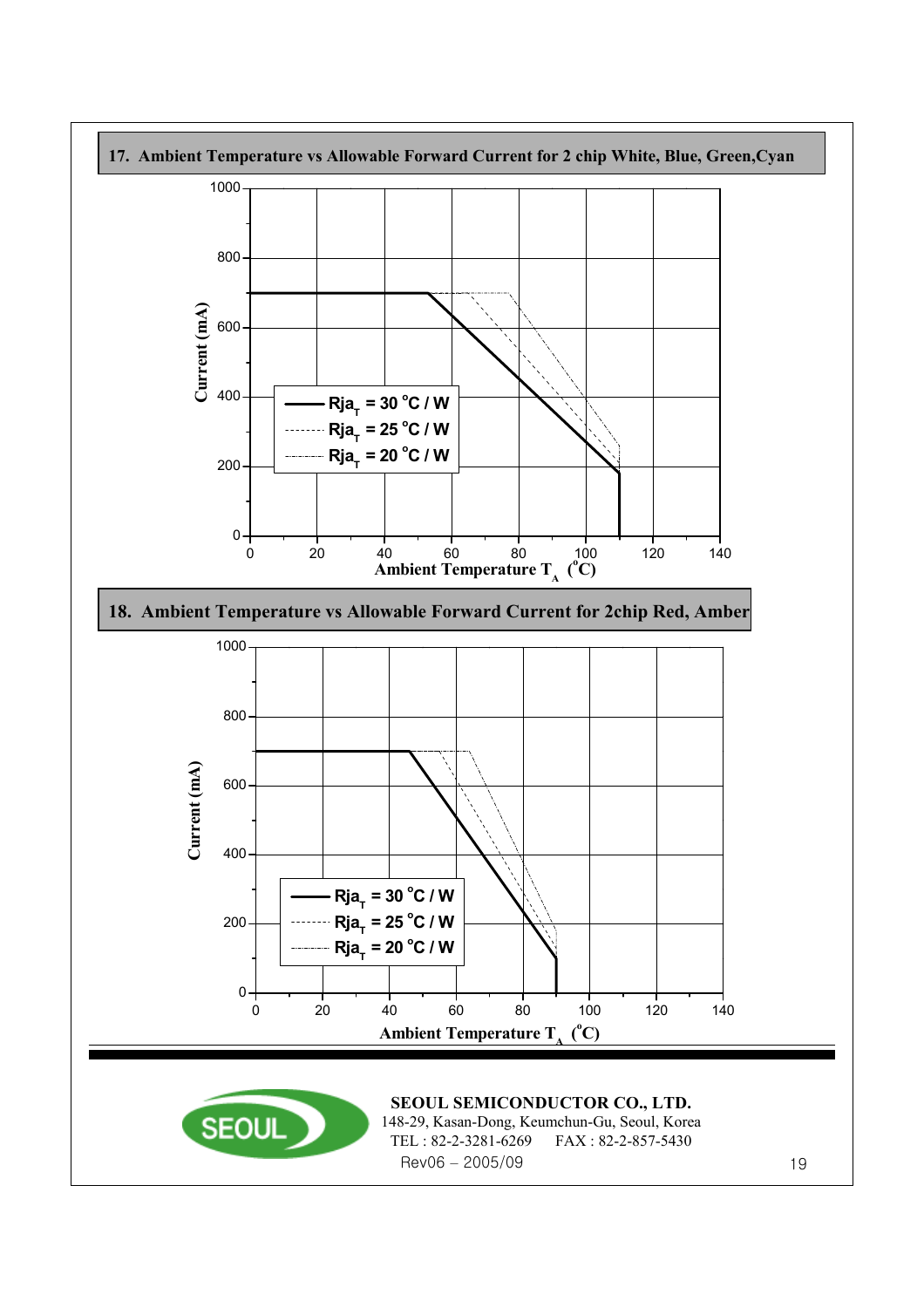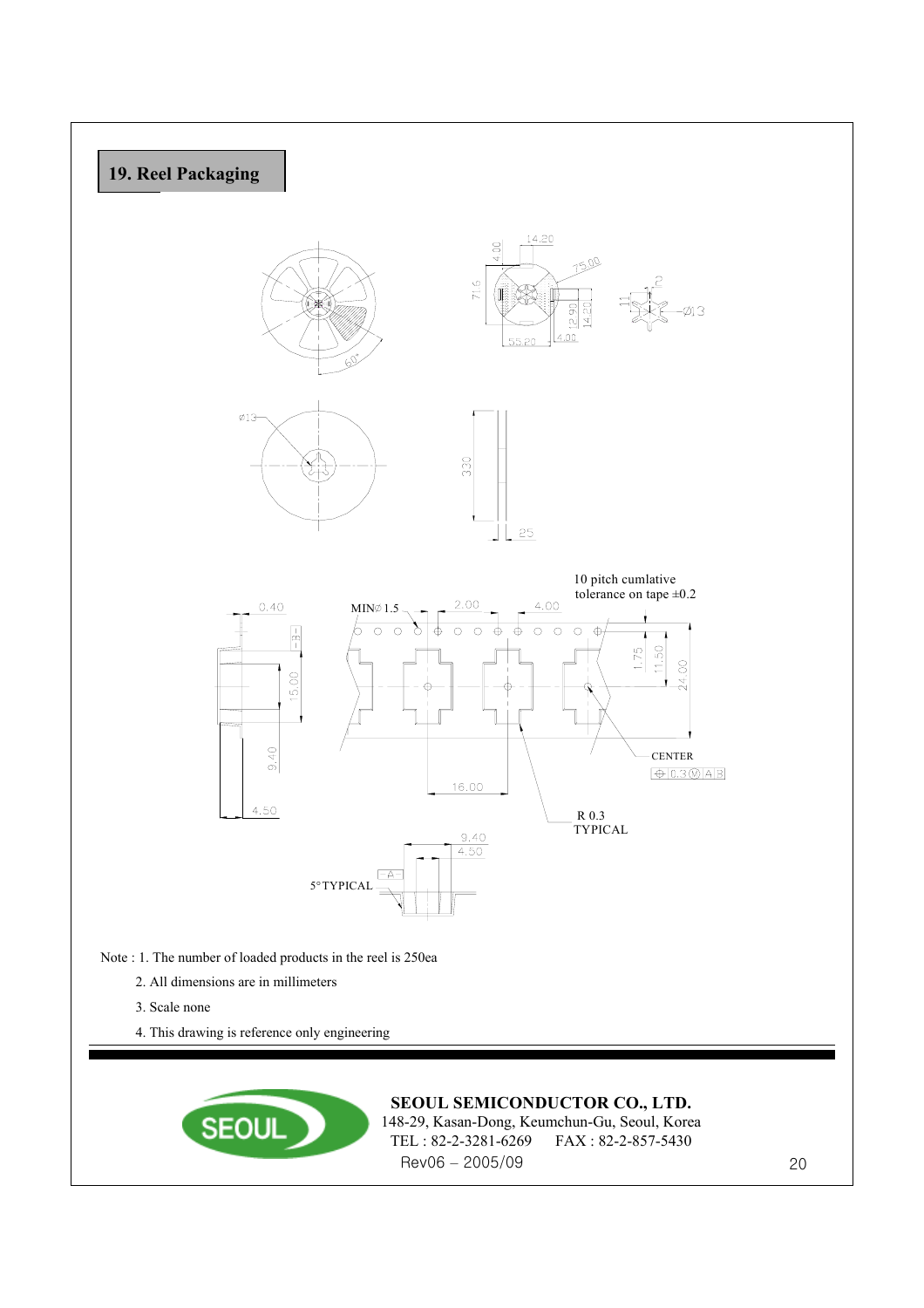

- Note : 1. The number of loaded products in the reel is 250ea
	- 2. All dimensions are in millimeters
	- 3. Scale none
	- 4. This drawing is reference only engineering



**SEOUL SEMICONDUCTOR CO., LTD.**

Rev06 – 2005/09 20 148-29, Kasan-Dong, Keumchun-Gu, Seoul, Korea TEL : 82-2-3281-6269 FAX : 82-2-857-5430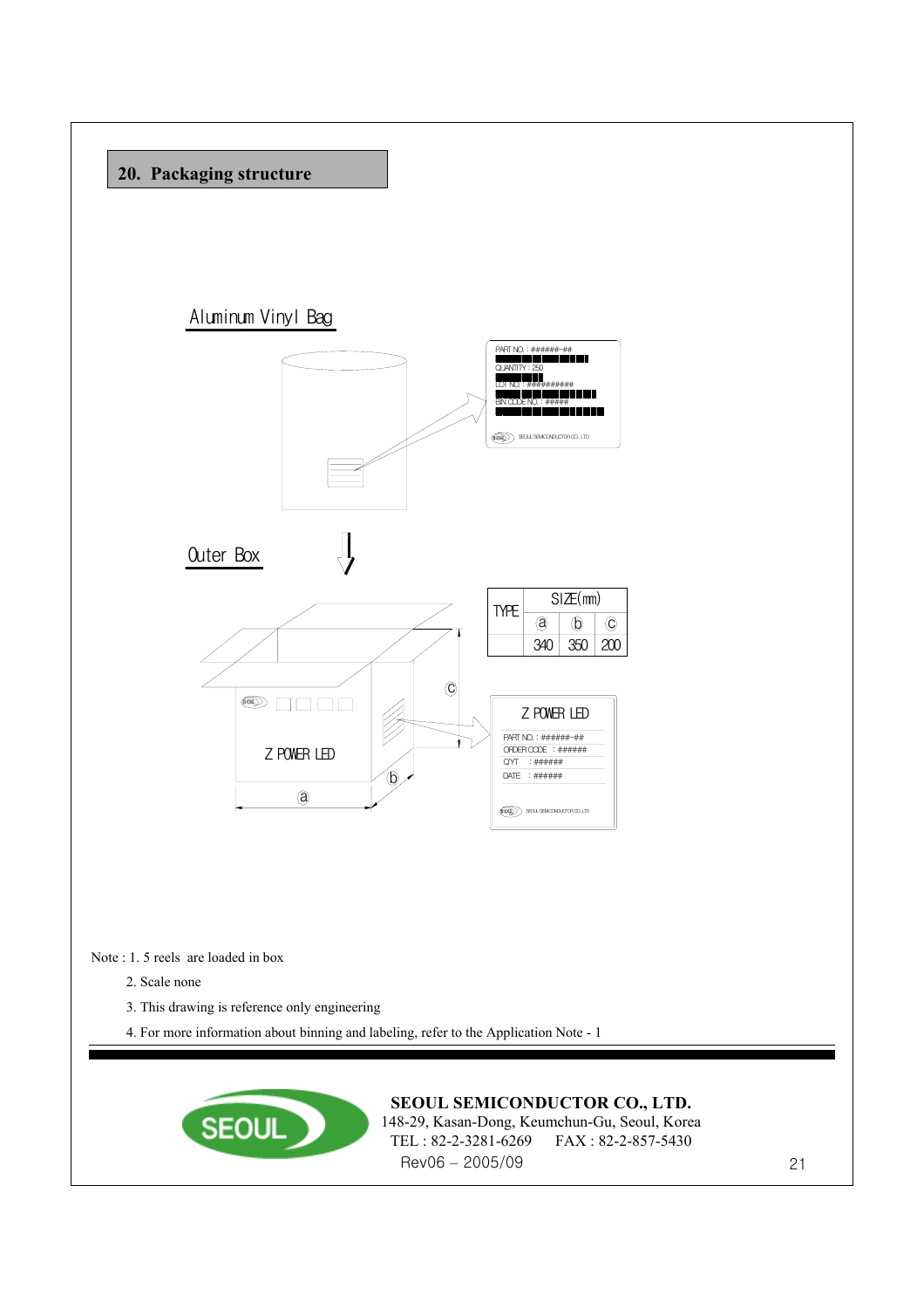

Note : 1. 5 reels are loaded in box

- 2. Scale none
- 3. This drawing is reference only engineering
- 4. For more information about binning and labeling, refer to the Application Note 1



Rev06 – 2005/09 21 **SEOUL SEMICONDUCTOR CO., LTD.** 148-29, Kasan-Dong, Keumchun-Gu, Seoul, Korea TEL : 82-2-3281-6269 FAX : 82-2-857-5430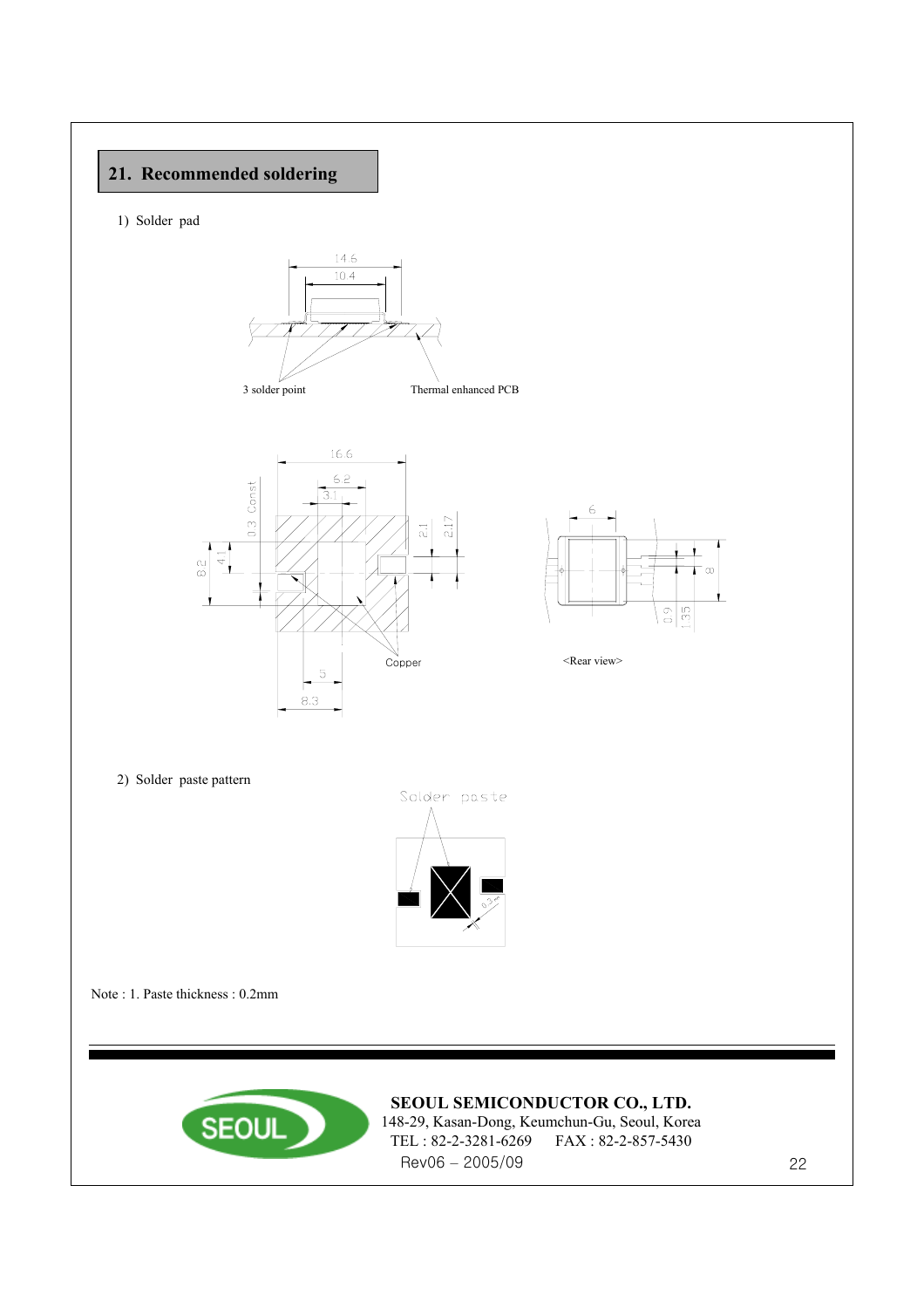#### **21. Recommended soldering**

1) Solder pad







2) Solder paste pattern



Note : 1. Paste thickness : 0.2mm



#### **SEOUL SEMICONDUCTOR CO., LTD.**

Rev06 – 2005/09 22 148-29, Kasan-Dong, Keumchun-Gu, Seoul, Korea TEL : 82-2-3281-6269 FAX : 82-2-857-5430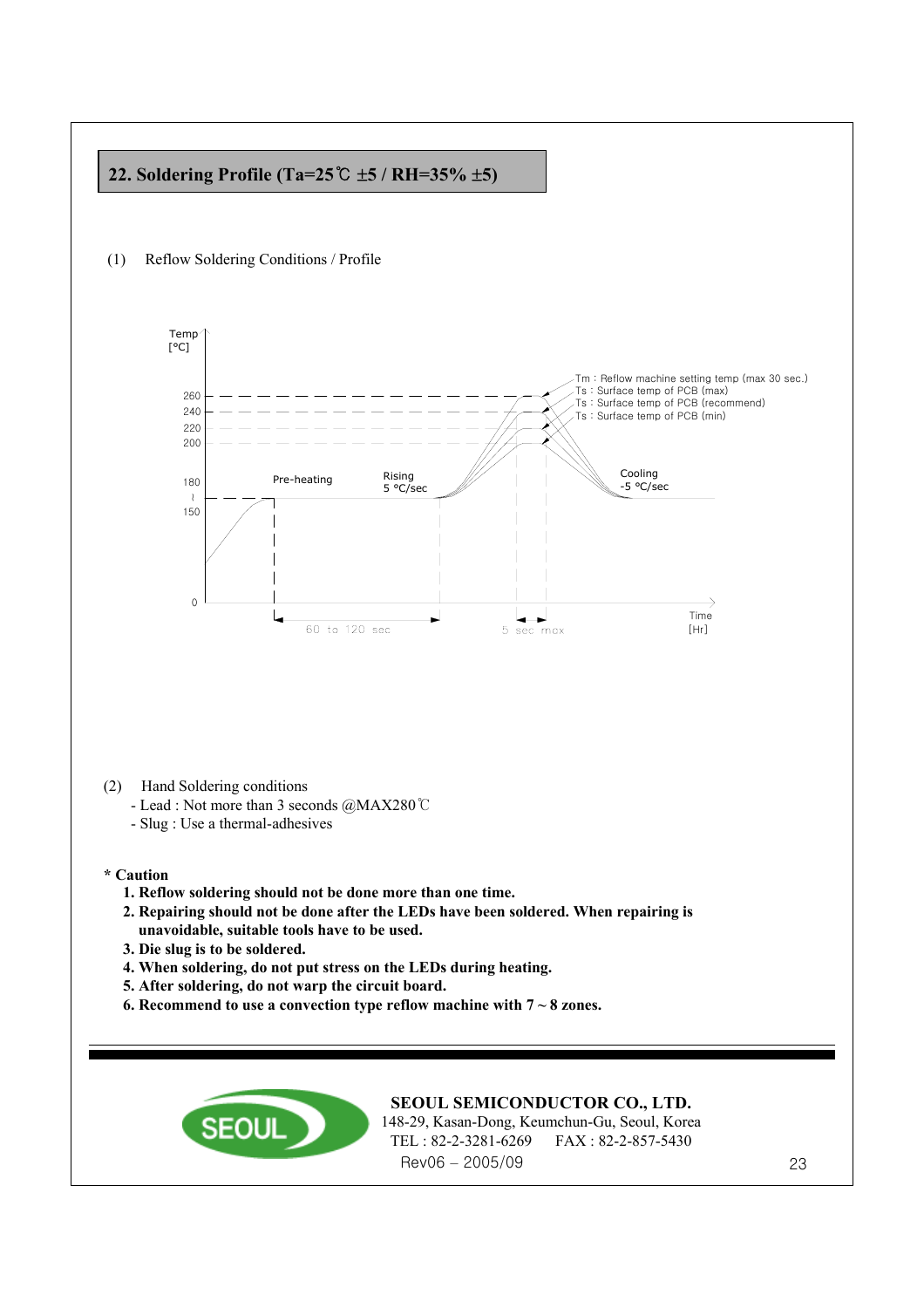#### **22. Soldering Profile (Ta=25**℃ ±**5 / RH=35%** ±**5)**





(2) Hand Soldering conditions

- Lead : Not more than 3 seconds @MAX280℃
- Slug : Use a thermal-adhesives

#### **\* Caution**

- **1. Reflow soldering should not be done more than one time.**
- **2. Repairing should not be done after the LEDs have been soldered. When repairing is unavoidable, suitable tools have to be used.**
- **3. Die slug is to be soldered.**
- **4. When soldering, do not put stress on the LEDs during heating.**
- **5. After soldering, do not warp the circuit board.**
- **6. Recommend to use a convection type reflow machine with 7 ~ 8 zones.**



#### **SEOUL SEMICONDUCTOR CO., LTD.**

Rev06 – 2005/09 23 148-29, Kasan-Dong, Keumchun-Gu, Seoul, Korea TEL : 82-2-3281-6269 FAX : 82-2-857-5430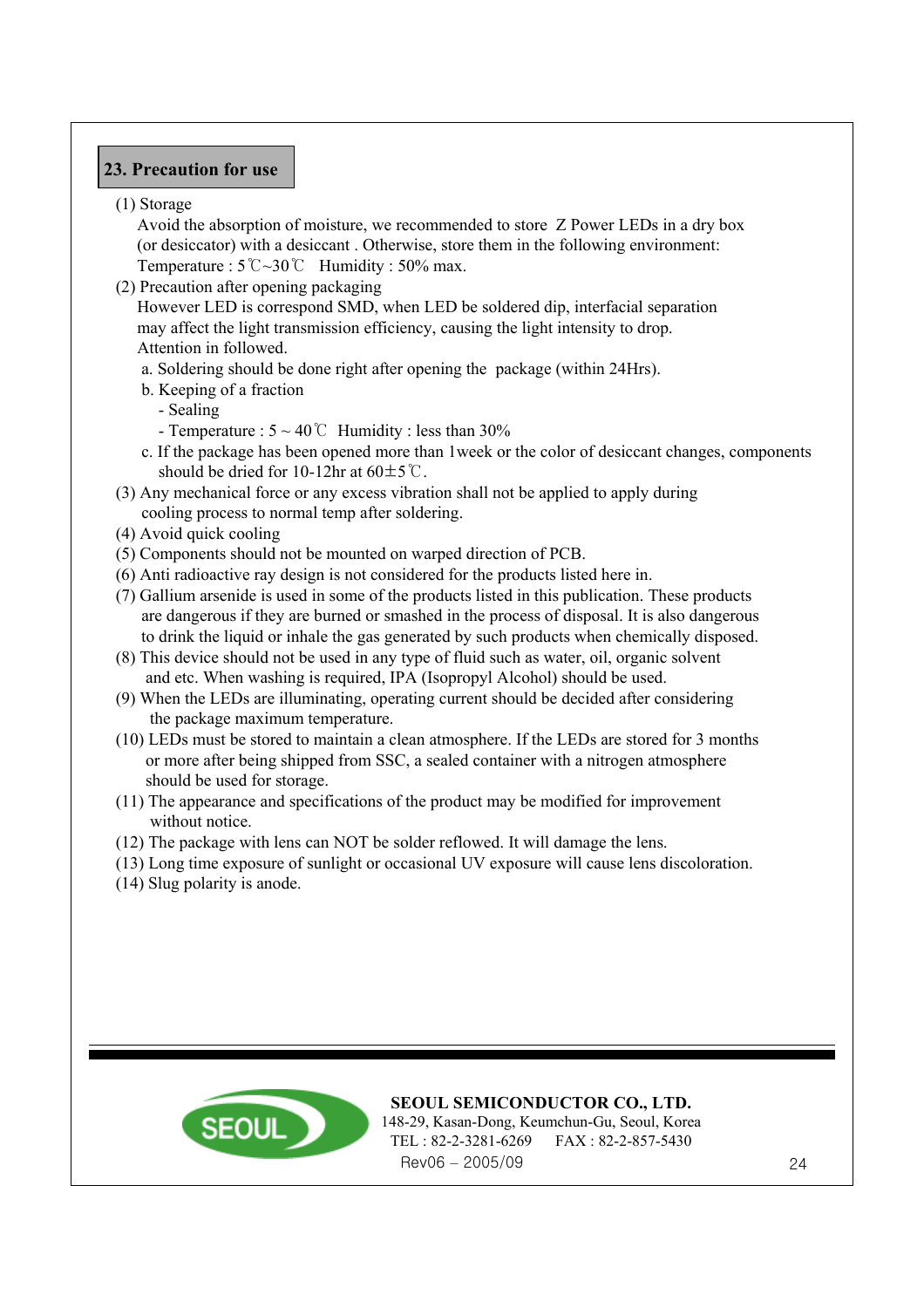#### **23. Precaution for use**

#### (1) Storage

Avoid the absorption of moisture, we recommended to store Z Power LEDs in a dry box (or desiccator) with a desiccant . Otherwise, store them in the following environment: Temperature : 5℃~30℃ Humidity : 50% max.

(2) Precaution after opening packaging

However LED is correspond SMD, when LED be soldered dip, interfacial separation may affect the light transmission efficiency, causing the light intensity to drop. Attention in followed.

- a. Soldering should be done right after opening the package (within 24Hrs).
- b. Keeping of a fraction
	- Sealing
	- Temperature :  $5 \sim 40^{\circ}$  Humidity : less than 30%
- c. If the package has been opened more than 1week or the color of desiccant changes, components should be dried for 10-12hr at  $60±5^{\circ}$ C.
- (3) Any mechanical force or any excess vibration shall not be applied to apply during cooling process to normal temp after soldering.
- (4) Avoid quick cooling
- (5) Components should not be mounted on warped direction of PCB.
- (6) Anti radioactive ray design is not considered for the products listed here in.
- (7) Gallium arsenide is used in some of the products listed in this publication. These products are dangerous if they are burned or smashed in the process of disposal. It is also dangerous to drink the liquid or inhale the gas generated by such products when chemically disposed.
- (8) This device should not be used in any type of fluid such as water, oil, organic solvent and etc. When washing is required, IPA (Isopropyl Alcohol) should be used.
- (9) When the LEDs are illuminating, operating current should be decided after considering the package maximum temperature.
- (10) LEDs must be stored to maintain a clean atmosphere. If the LEDs are stored for 3 months or more after being shipped from SSC, a sealed container with a nitrogen atmosphere should be used for storage.
- (11) The appearance and specifications of the product may be modified for improvement without notice.
- (12) The package with lens can NOT be solder reflowed. It will damage the lens.
- (13) Long time exposure of sunlight or occasional UV exposure will cause lens discoloration.
- (14) Slug polarity is anode.



#### **SEOUL SEMICONDUCTOR CO., LTD.**

Rev06 – 2005/09 24 148-29, Kasan-Dong, Keumchun-Gu, Seoul, Korea TEL : 82-2-3281-6269 FAX : 82-2-857-5430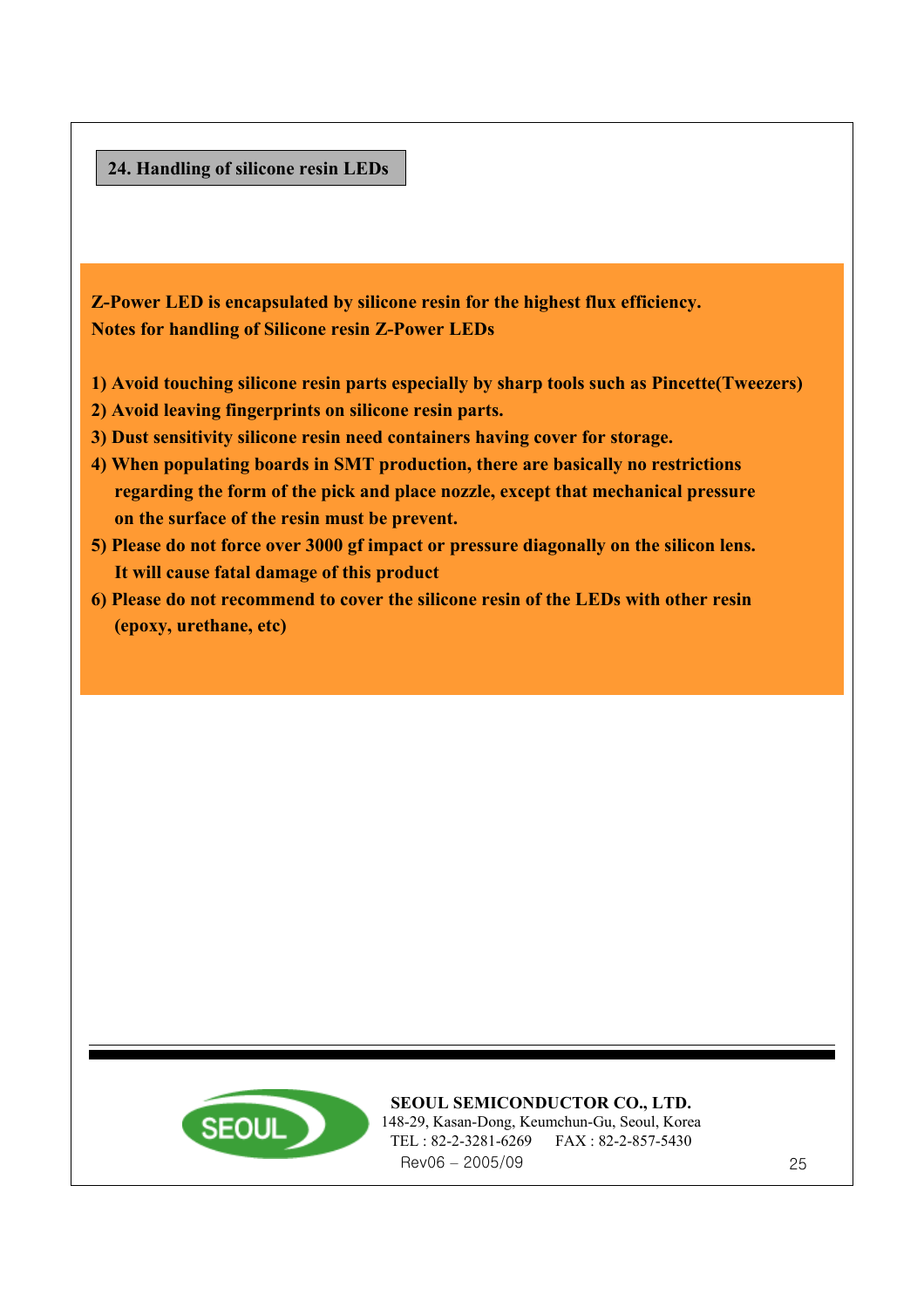#### **24. Handling of silicone resin LEDs**

**Z-Power LED is encapsulated by silicone resin for the highest flux efficiency. Notes for handling of Silicone resin Z-Power LEDs**

- **1) Avoid touching silicone resin parts especially by sharp tools such as Pincette(Tweezers)**
- **2) Avoid leaving fingerprints on silicone resin parts.**
- **3) Dust sensitivity silicone resin need containers having cover for storage.**
- **4) When populating boards in SMT production, there are basically no restrictions regarding the form of the pick and place nozzle, except that mechanical pressure on the surface of the resin must be prevent.**
- **5) Please do not force over 3000 gf impact or pressure diagonally on the silicon lens. It will cause fatal damage of this product**
- **6) Please do not recommend to cover the silicone resin of the LEDs with other resin (epoxy, urethane, etc)**



Rev06 – 2005/09 25 **SEOUL SEMICONDUCTOR CO., LTD.** 148-29, Kasan-Dong, Keumchun-Gu, Seoul, Korea TEL : 82-2-3281-6269 FAX : 82-2-857-5430